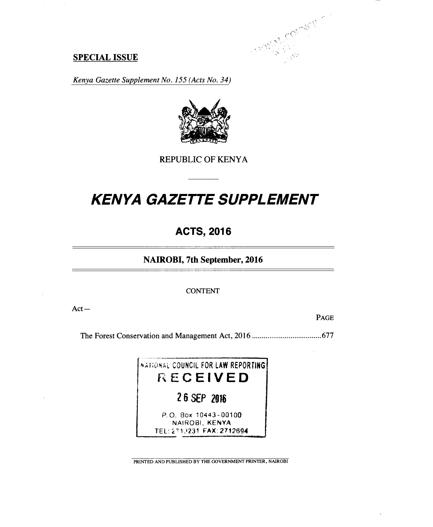

## **SPECIAL ISSUE**

*Kenya Gazette Supplement No. 155 (Acts No. 34)* 



REPUBLIC OF KENYA

# *KENYA GAZETTE SUPPLEMENT*

## **ACTS, 2016**

## **NAIROBI, 7th September, 2016**

CONTENT

Act—

PAGE

The Forest Conservation and Management Act, 2016 677

NATIONAL COUNCIL FOR LAW REPORTING **RECEIVED 2 6 SEP 2016**  P.O. Box 10443-00100 NAIROBI, KENYA TEL:2'1)231 FAX:2712694

PRINTED AND PUBLISHED BY THE GOVERNMENT PRINTER, NAIROBI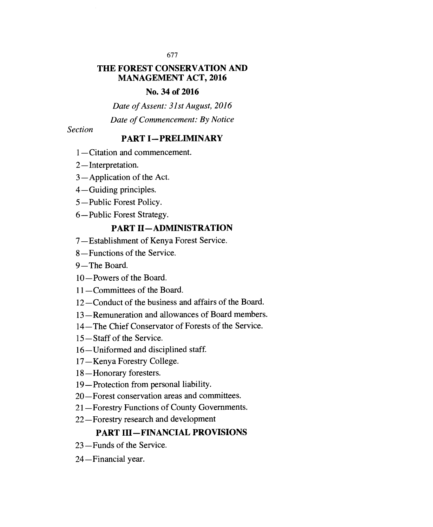## **THE FOREST CONSERVATION AND MANAGEMENT ACT, 2016**

## **No. 34 of 2016**

*Date of Assent: 31st August, 2016* 

*Date of Commencement: By Notice* 

*Section* 

## **PART I—PRELIMINARY**

- 1—Citation and commencement.
- 2—Interpretation.
- 3—Application of the Act.
- 4—Guiding principles.
- 5—Public Forest Policy.
- 6—Public Forest Strategy.

## **PART II—ADMINISTRATION**

- 7—Establishment of Kenya Forest Service.
- 8—Functions of the Service.
- 9—The Board.
- 10—Powers of the Board.
- 11—Committees of the Board.
- 12—Conduct of the business and affairs of the Board.
- 13—Remuneration and allowances of Board members.
- 14—The Chief Conservator of Forests of the Service.
- 15—Staff of the Service.
- 16—Uniformed and disciplined staff.
- 17—Kenya Forestry College.
- 18—Honorary foresters.
- 19—Protection from personal liability.
- 20—Forest conservation areas and committees.
- 21—Forestry Functions of County Governments.
- 22—Forestry research and development

## **PART III—FINANCIAL PROVISIONS**

- 23—Funds of the Service.
- 24—Financial year.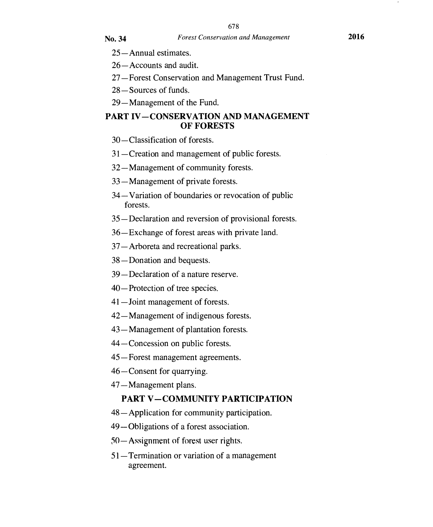- 25—Annual estimates.
- 26—Accounts and audit.
- 27—Forest Conservation and Management Trust Fund.
- 28—Sources of funds.
- 29—Management of the Fund.

## **PART IV—CONSERVATION AND MANAGEMENT OF FORESTS**

- 30—Classification of forests.
- 31—Creation and management of public forests.
- 32—Management of community forests.
- 33—Management of private forests.
- 34—Variation of boundaries or revocation of public forests.
- 35 —Declaration and reversion of provisional forests.
- 36—Exchange of forest areas with private land.
- 37—Arboreta and recreational parks.
- 38—Donation and bequests.
- 39—Declaration of a nature reserve.
- 40—Protection of tree species.
- 41—Joint management of forests.
- 42—Management of indigenous forests.
- 43—Management of plantation forests.
- 44—Concession on public forests.
- 45—Forest management agreements.
- 46—Consent for quarrying.
- 47—Management plans.

## **PART V —COMMUNITY PARTICIPATION**

- 48—Application for community participation.
- 49—Obligations of a forest association.
- 50— Assignment of forest user rights.
- 51—Termination or variation of a management agreement.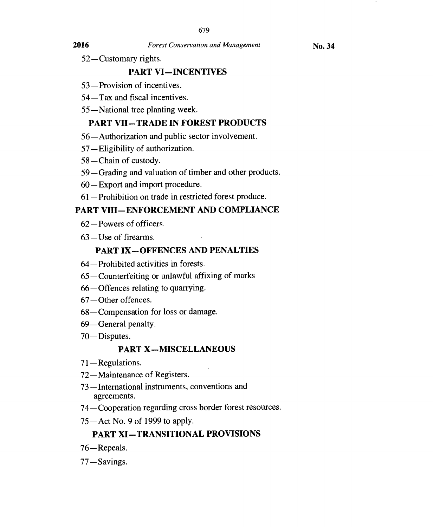**No. 34** 

52—Customary rights.

## **PART VI—INCENTIVES**

- 53—Provision of incentives.
- 54—Tax and fiscal incentives.
- 55—National tree planting week.

## **PART VII—TRADE IN FOREST PRODUCTS**

- 56—Authorization and public sector involvement.
- 57—Eligibility of authorization.
- 58—Chain of custody.
- 59—Grading and valuation of timber and other products.
- 60—Export and import procedure.
- 61—Prohibition on trade in restricted forest produce.

## **PART VIII—ENFORCEMENT AND COMPLIANCE**

- 62—Powers of officers.
- 63—Use of firearms.

## **PART IX—OFFENCES AND PENALTIES**

- 64—Prohibited activities in forests.
- 65—Counterfeiting or unlawful affixing of marks
- 66—Offences relating to quarrying.
- 67—Other offences.
- 68—Compensation for loss or damage.
- 69—General penalty.
- 70—Disputes.

## **PART X—MISCELLANEOUS**

- 71 —Regulations.
- 72—Maintenance of Registers.
- 73—International instruments, conventions and agreements.
- 74—Cooperation regarding cross border forest resources.
- 75—Act No. 9 of 1999 to apply.

## **PART XI—TRANSITIONAL PROVISIONS**

- 76—Repeals.
- 77—Savings.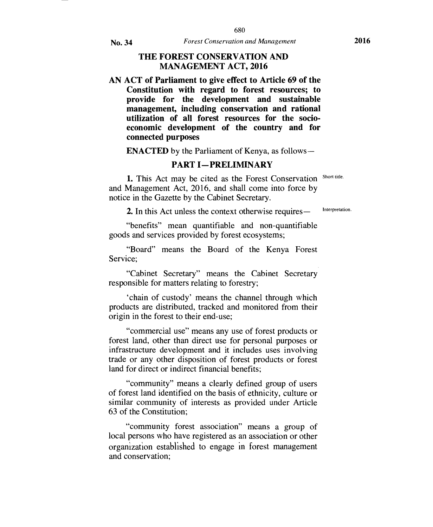### **THE FOREST CONSERVATION AND MANAGEMENT ACT, 2016**

**AN ACT of Parliament to give effect to Article 69 of the Constitution with regard to forest resources; to provide for the development and sustainable management, including conservation and rational utilization of all forest resources for the socioeconomic development of the country and for connected purposes** 

**ENACTED** by the Parliament of Kenya, as follows **—** 

### **PART I—PRELIMINARY**

1. This Act may be cited as the Forest Conservation Short title. and Management Act, 2016, and shall come into force by notice in the Gazette by the Cabinet Secretary.

2. In this Act unless the context otherwise requires — Interpretation.

"benefits" mean quantifiable and non-quantifiable goods and services provided by forest ecosystems;

"Board" means the Board of the Kenya Forest Service;

"Cabinet Secretary" means the Cabinet Secretary responsible for matters relating to forestry;

`chain of custody' means the channel through which products are distributed, tracked and monitored from their origin in the forest to their end-use;

"commercial use" means any use of forest products or forest land, other than direct use for personal purposes or infrastructure development and it includes uses involving trade or any other disposition of forest products or forest land for direct or indirect financial benefits;

"community" means a clearly defined group of users of forest land identified on the basis of ethnicity, culture or similar community of interests as provided under Article 63 of the Constitution;

"community forest association" means a group of local persons who have registered as an association or other organization established to engage in forest management and conservation;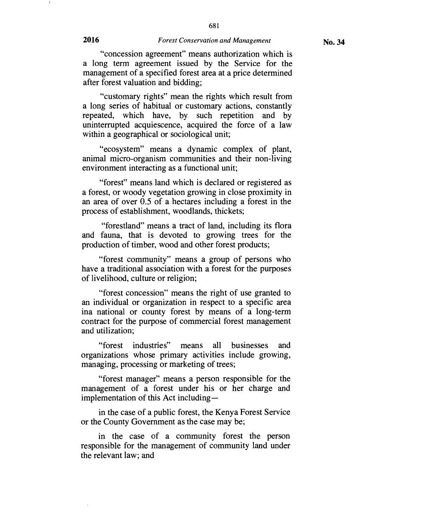**No. 34** 

"concession agreement" means authorization which is a long term agreement issued by the Service for the management of a specified forest area at a price determined after forest valuation and bidding;

"customary rights" mean the rights which result from a long series of habitual or customary actions, constantly repeated, which have, by such repetition and by uninterrupted acquiescence, acquired the force of a law within a geographical or sociological unit;

"ecosystem" means a dynamic complex of plant, animal micro-organism communities and their non-living environment interacting as a functional unit;

"forest" means land which is declared or registered as a forest, or woody vegetation growing in close proximity in an area of over 0.5 of a hectares including a forest in the process of establishment, woodlands, thickets;

"forestland" means a tract of land, including its flora and fauna, that is devoted to growing trees for the production of timber, wood and other forest products;

"forest community" means a group of persons who have a traditional association with a forest for the purposes of livelihood, culture or religion;

"forest concession" means the right of use granted to an individual or organization in respect to a specific area ina national or county forest by means of a long-term contract for the purpose of commercial forest management and utilization;

"forest industries" means all businesses and organizations whose primary activities include growing, managing, processing or marketing of trees;

"forest manager" means a person responsible for the management of a forest under his or her charge and implementation of this Act including—

in the case of a public forest, the Kenya Forest Service or the County Government as the case may be;

in the case of a community forest the person responsible for the management of community land under the relevant law; and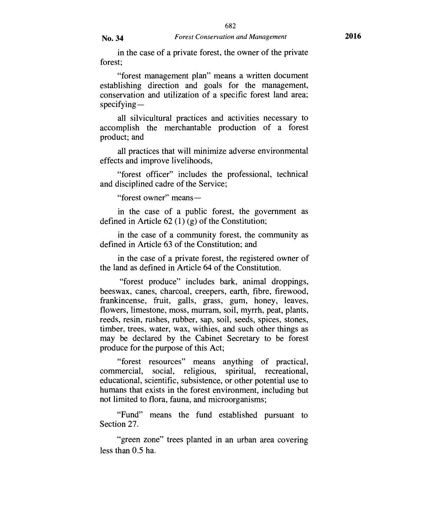682

in the case of a private forest, the owner of the private forest;

"forest management plan" means a written document establishing direction and goals for the management, conservation and utilization of a specific forest land area; specifying —

all silvicultural practices and activities necessary to accomplish the merchantable production of a forest product; and

all practices that will minimize adverse environmental effects and improve livelihoods,

"forest officer" includes the professional, technical and disciplined cadre of the Service;

"forest owner" means—

in the case of a public forest, the government as defined in Article 62 (1) (g) of the Constitution;

in the case of a community forest, the community as defined in Article 63 of the Constitution; and

in the case of a private forest, the registered owner of the land as defined in Article 64 of the Constitution.

"forest produce" includes bark, animal droppings, beeswax, canes, charcoal, creepers, earth, fibre, firewood, frankincense, fruit, galls, grass, gum, honey, leaves, flowers, limestone, moss, murram, soil, myrrh, peat, plants, reeds, resin, rushes, rubber, sap, soil, seeds, spices, stones, timber, trees, water, wax, withies, and such other things as may be declared by the Cabinet Secretary to be forest produce for the purpose of this Act;

"forest resources" means anything of practical, commercial, social, religious, spiritual, recreational, educational, scientific, subsistence, or other potential use to humans that exists in the forest environment, including but not limited to flora, fauna, and microorganisms;

"Fund" means the fund established pursuant to Section 27.

"green zone" trees planted in an urban area covering less than 0.5 ha.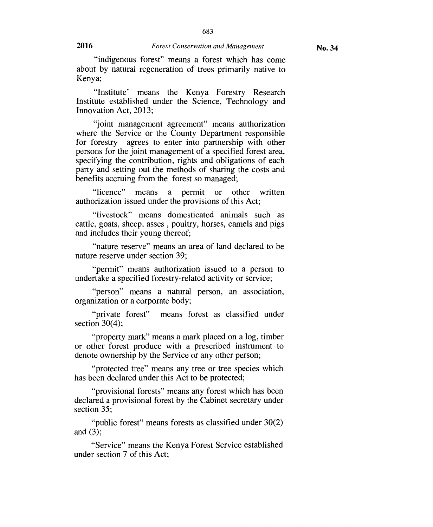683

"indigenous forest" means a forest which has come about by natural regeneration of trees primarily native to Kenya;

"Institute' means the Kenya Forestry Research Institute established under the Science, Technology and Innovation Act, 2013;

"joint management agreement" means authorization where the Service or the County Department responsible for forestry agrees to enter into partnership with other persons for the joint management of a specified forest area, specifying the contribution, rights and obligations of each party and setting out the methods of sharing the costs and benefits accruing from the forest so managed;

"licence" means a permit or other written authorization issued under the provisions of this Act;

"livestock" means domesticated animals such as cattle, goats, sheep, asses , poultry, horses, camels and pigs and includes their young thereof;

"nature reserve" means an area of land declared to be nature reserve under section 39;

"permit" means authorization issued to a person to undertake a specified forestry-related activity or service;

"person" means a natural person, an association, organization or a corporate body;

"private forest" means forest as classified under section  $30(4)$ ;

"property mark" means a mark placed on a log, timber or other forest produce with a prescribed instrument to denote ownership by the Service or any other person;

"protected tree" means any tree or tree species which has been declared under this Act to be protected;

"provisional forests" means any forest which has been declared a provisional forest by the Cabinet secretary under section 35;

"public forest" means forests as classified under 30(2) and (3);

"Service" means the Kenya Forest Service established under section 7 of this Act;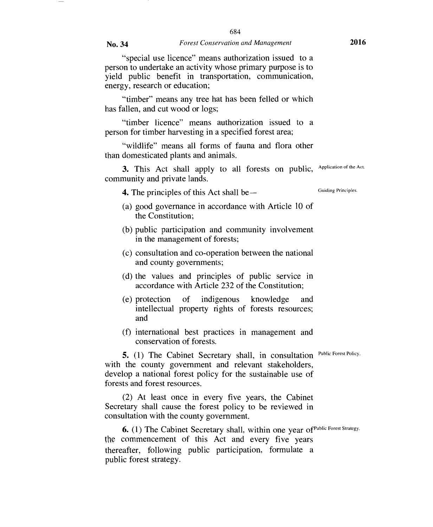"special use licence" means authorization issued to a person to undertake an activity whose primary purpose is to yield public benefit in transportation, communication, energy, research or education;

"timber" means any tree hat has been felled or which has fallen, and cut wood or logs;

"timber licence" means authorization issued to a person for timber harvesting in a specified forest area;

"wildlife" means all forms of fauna and flora other than domesticated plants and animals.

3. This Act shall apply to all forests on public, Application of the Act. community and private lands.

**4.** The principles of this Act shall be — Guiding Principles.

- (a) good governance in accordance with Article 10 of the Constitution;
- (b) public participation and community involvement in the management of forests;
- (c) consultation and co-operation between the national and county governments;
- (d) the values and principles of public service in accordance with Article 232 of the Constitution;
- (e) protection of indigenous knowledge and intellectual property rights of forests resources; and
- (f) international best practices in management and conservation of forests.

**5.** (1) The Cabinet Secretary shall, in consultation Public Forest Policy. with the county government and relevant stakeholders, develop a national forest policy for the sustainable use of forests and forest resources.

(2) At least once in every five years, the Cabinet Secretary shall cause the forest policy to be reviewed in consultation with the county government.

**6.** (1) The Cabinet Secretary shall, within one year of Public Forest Strategy. the commencement of this Act and every five years thereafter, following public participation, formulate a public forest strategy.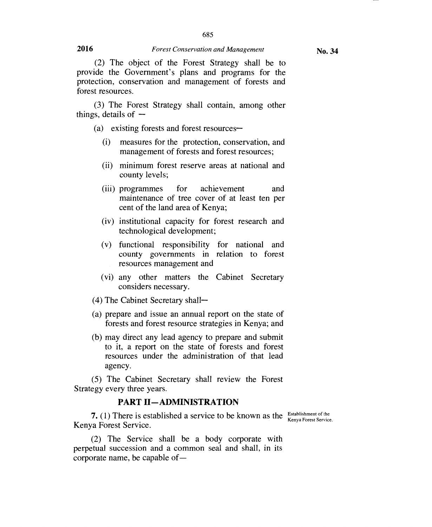685

(2) The object of the Forest Strategy shall be to provide the Government's plans and programs for the protection, conservation and management of forests and forest resources.

(3) The Forest Strategy shall contain, among other things, details of  $-$ 

(a) existing forests and forest resources-

- (i) measures for the protection, conservation, and management of forests and forest resources;
- (ii) minimum forest reserve areas at national and county levels;
- (iii) programmes for achievement and maintenance of tree cover of at least ten per cent of the land area of Kenya;
- (iv) institutional capacity for forest research and technological development;
- (v) functional responsibility for national and county governments in relation to forest resources management and
- (vi) any other matters the Cabinet Secretary considers necessary.
- (4) The Cabinet Secretary shall—
- (a) prepare and issue an annual report on the state of forests and forest resource strategies in Kenya; and
- (b) may direct any lead agency to prepare and submit to it, a report on the state of forests and forest resources under the administration of that lead agency.

(5) The Cabinet Secretary shall review the Forest Strategy every three years.

### **PART II—ADMINISTRATION**

**7.** (1) There is established a service to be known as the Establishment of the Kenya Forest Service.<br>Kenya Forest Service.

(2) The Service shall be a body corporate with perpetual succession and a common seal and shall, in its corporate name, be capable of—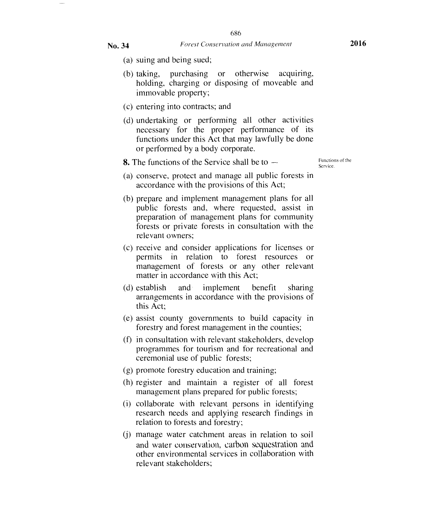- - (a) suing and being sued;
	- (b) taking, purchasing or otherwise acquiring, holding, charging or disposing of moveable and immovable property;
	- (c) entering into contracts; and
	- (d) undertaking or performing all other activities necessary for the proper performance of its functions under this Act that may lawfully be done or performed by a body corporate.

**8.** The functions of the Service shall be to  $-$ 

Functions of the Service.

- (a) conserve, protect and manage all public forests in accordance with the provisions of this Act;
- (b) prepare and implement management plans for all public forests and, where requested, assist in preparation of management plans for community forests or private forests in consultation with the relevant owners;
- (c) receive and consider applications for licenses or permits in relation to forest resources or management of forests or any other relevant matter in accordance with this Act;
- (d) establish and implement benefit sharing arrangements in accordance with the provisions of this Act;
- (e) assist county governments to build capacity in forestry and forest management in the counties;
- (f) in consultation with relevant stakeholders, develop programmes for tourism and for recreational and ceremonial use of public forests;
- (g) promote forestry education and training;
- (h) register and maintain a register of all forest management plans prepared for public forests;
- (i) collaborate with relevant persons in identifying research needs and applying research findings in relation to forests and forestry;
- (j) manage water catchment areas in relation to soil and water conservation, carbon sequestration and other environmental services in collaboration with relevant stakeholders;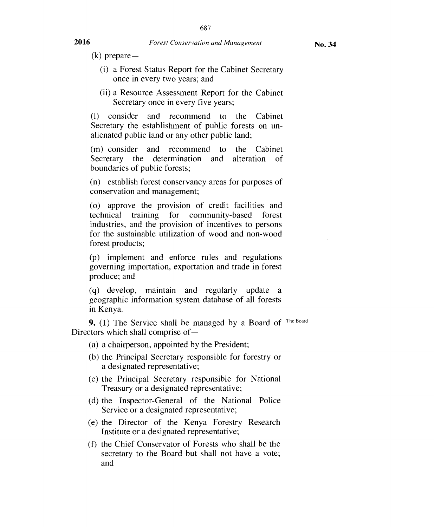- (i) a Forest Status Report for the Cabinet Secretary once in every two years; and
- (ii) a Resource Assessment Report for the Cabinet Secretary once in every five years;

(1) consider and recommend to the Cabinet Secretary the establishment of public forests on unalienated public land or any other public land;

(m) consider and recommend to the Cabinet Secretary the determination and alteration of boundaries of public forests;

(n) establish forest conservancy areas for purposes of conservation and management;

(o) approve the provision of credit facilities and technical training for community-based forest industries, and the provision of incentives to persons for the sustainable utilization of wood and non-wood forest products;

(p) implement and enforce rules and regulations governing importation, exportation and trade in forest produce; and

(q) develop, maintain and regularly update a geographic information system database of all forests in Kenya.

**9.** (1) The Service shall be managed by a Board of <sup>The Board</sup> Directors which shall comprise of —

(a) a chairperson, appointed by the President;

- (b) the Principal Secretary responsible for forestry or a designated representative;
- (c) the Principal Secretary responsible for National Treasury or a designated representative;
- (d) the Inspector-General of the National Police Service or a designated representative;
- (e) the Director of the Kenya Forestry Research Institute or a designated representative;
- (f) the Chief Conservator of Forests who shall be the secretary to the Board but shall not have a vote; and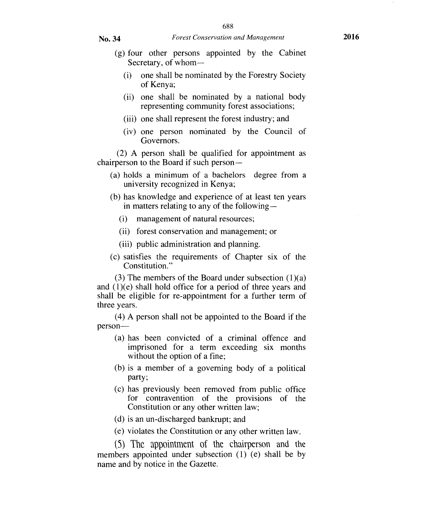- (g) four other persons appointed by the Cabinet Secretary, of whom-
	- (i) one shall be nominated by the Forestry Society of Kenya;
	- (ii) one shall be nominated by a national body representing community forest associations;
	- (iii) one shall represent the forest industry; and
	- (iv) one person nominated by the Council of Governors.

(2) A person shall be qualified for appointment as chairperson to the Board if such person —

- (a) holds a minimum of a bachelors degree from a university recognized in Kenya;
- (b) has knowledge and experience of at least ten years in matters relating to any of the following —
	- (i) management of natural resources;
	- (ii) forest conservation and management; or
	- (iii) public administration and planning.
- (c) satisfies the requirements of Chapter six of the Constitution."

(3) The members of the Board under subsection  $(1)(a)$ and (1)(e) shall hold office for a period of three years and shall be eligible for re-appointment for a further term of three years.

(4) A person shall not be appointed to the Board if the person—

- (a) has been convicted of a criminal offence and imprisoned for a term exceeding six months without the option of a fine;
- (b) is a member of a governing body of a political party;
- (c) has previously been removed from public office for contravention of the provisions of the Constitution or any other written law;
- (d) is an un-discharged bankrupt; and
- (e) violates the Constitution or any other written law.

(5) The appointment of the chairperson and the members appointed under subsection (1) (e) shall be by name and by notice in the Gazette.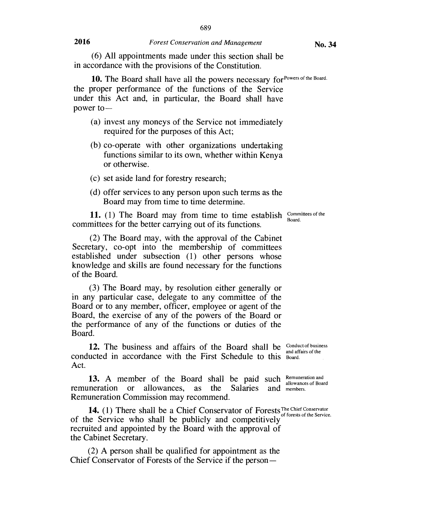(6) All appointments made under this section shall be in accordance with the provisions of the Constitution.

10. The Board shall have all the powers necessary for Powers of the Board. the proper performance of the functions of the Service under this Act and, in particular, the Board shall have power to —

- (a) invest any moneys of the Service not immediately required for the purposes of this Act;
- (b) co-operate with other organizations undertaking functions similar to its own, whether within Kenya or otherwise.
- (c) set aside land for forestry research;
- (d) offer services to any person upon such terms as the Board may from time to time determine.

**11.** (1) The Board may from time to time establish  $\frac{\text{Commitices of the}}{\text{Board}}$ committees for the better carrying out of its functions. Board.

(2) The Board may, with the approval of the Cabinet Secretary, co-opt into the membership of committees established under subsection (1) other persons whose knowledge and skills are found necessary for the functions of the Board.

(3) The Board may, by resolution either generally or in any particular case, delegate to any committee of the Board or to any member, officer, employee or agent of the Board, the exercise of any of the powers of the Board or the performance of any of the functions or duties of the Board.

**12.** The business and affairs of the Board shall be Conduct of business conducted in accordance with the First Schedule to this Board. Act.

13. A member of the Board shall be paid such Remuneration and remuneration or allowances, as the Salaries and members. c s and members. Remuneration Commission may recommend.

14. (1) There shall be a Chief Conservator of Forests The Chief Conservator of the Service who shall be publicly and competitively recruited and appointed by the Board with the approval of the Cabinet Secretary.

(2) A person shall be qualified for appointment as the Chief Conservator of Forests of the Service if the person-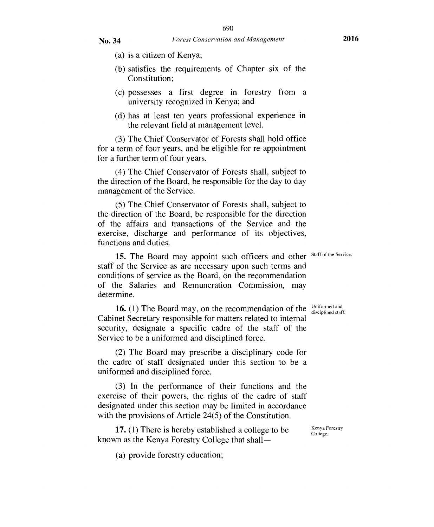- (a) is a citizen of Kenya;
- (b) satisfies the requirements of Chapter six of the Constitution;
- (c) possesses a first degree in forestry from a university recognized in Kenya; and
- (d) has at least ten years professional experience in the relevant field at management level.

(3) The Chief Conservator of Forests shall hold office for a term of four years, and be eligible for re-appointment for a further term of four years.

(4) The Chief Conservator of Forests shall, subject to the direction of the Board, be responsible for the day to day management of the Service.

(5) The Chief Conservator of Forests shall, subject to the direction of the Board, be responsible for the direction of the affairs and transactions of the Service and the exercise, discharge and performance of its objectives, functions and duties.

15. The Board may appoint such officers and other Staff of the Service. staff of the Service as are necessary upon such terms and conditions of service as the Board, on the recommendation of the Salaries and Remuneration Commission, may determine.

**16.** (1) The Board may, on the recommendation of the  $\frac{\text{Uniformed and}}{\text{disciplined staff.}}$ Cabinet Secretary responsible for matters related to internal security, designate a specific cadre of the staff of the Service to be a uniformed and disciplined force.

(2) The Board may prescribe a disciplinary code for the cadre of staff designated under this section to be a uniformed and disciplined force.

(3) In the performance of their functions and the exercise of their powers, the rights of the cadre of staff designated under this section may be limited in accordance with the provisions of Article 24(5) of the Constitution.

**17.** (1) There is hereby established a college to be  $K_{\text{college}}^{Kenya \text{ Forestry}}$ known as the Kenya Forestry College that shall —

(a) provide forestry education;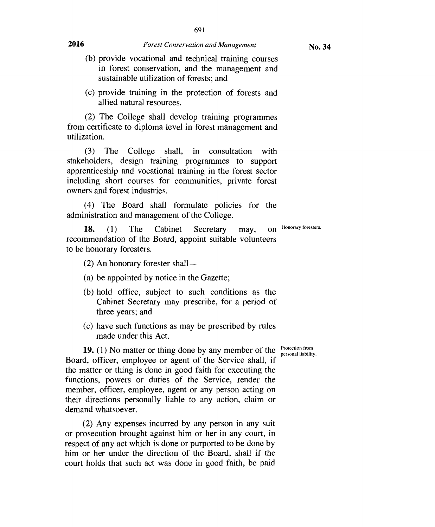- (b) provide vocational and technical training courses in forest conservation, and the management and sustainable utilization of forests; and
- (c) provide training in the protection of forests and allied natural resources.

(2) The College shall develop training programmes from certificate to diploma level in forest management and utilization.

(3) The College shall, in consultation with stakeholders, design training programmes to support apprenticeship and vocational training in the forest sector including short courses for communities, private forest owners and forest industries.

(4) The Board shall formulate policies for the administration and management of the College.

**18. (1)** The Cabinet Secretary may, on recommendation of the Board, appoint suitable volunteers to be honorary foresters. Honorary foresters.

- (2) An honorary forester shall —
- (a) be appointed by notice in the Gazette;
- (b) hold office, subject to such conditions as the Cabinet Secretary may prescribe, for a period of three years; and
- (c) have such functions as may be prescribed by rules made under this Act.

personal liability.

**19.** (1) No matter or thing done by any member of the *Protection from* Board, officer, employee or agent of the Service shall, if the matter or thing is done in good faith for executing the functions, powers or duties of the Service, render the member, officer, employee, agent or any person acting on their directions personally liable to any action, claim or demand whatsoever.

(2) Any expenses incurred by any person in any suit or prosecution brought against him or her in any court, in respect of any act which is done or purported to be done by him or her under the direction of the Board, shall if the court holds that such act was done in good faith, be paid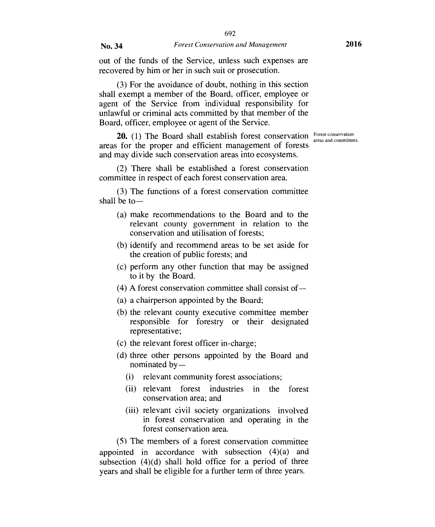out of the funds of the Service, unless such expenses are recovered by him or her in such suit or prosecution.

(3) For the avoidance of doubt, nothing in this section shall exempt a member of the Board, officer, employee or agent of the Service from individual responsibility for unlawful or criminal acts committed by that member of the Board, officer, employee or agent of the Service.

**20.** (1) The Board shall establish forest conservation  $\frac{F$  Forest conservation areas for the proper and efficient management of forests and may divide such conservation areas into ecosystems.

(2) There shall be established a forest conservation committee in respect of each forest conservation area.

(3) The functions of a forest conservation committee shall be to —

- (a) make recommendations to the Board and to the relevant county government in relation to the conservation and utilisation of forests;
- (b) identify and recommend areas to be set aside for the creation of public forests; and
- (c) perform any other function that may be assigned to it by the Board.
- (4) A forest conservation committee shall consist of —
- (a) a chairperson appointed by the Board;
- (b) the relevant county executive committee member responsible for forestry or their designated representative;
- (c) the relevant forest officer in-charge;
- (d) three other persons appointed by the Board and nominated by —
	- (i) relevant community forest associations;
	- (ii) relevant forest industries in the forest conservation area; and
	- (iii) relevant civil society organizations involved in forest conservation and operating in the forest conservation area.

(5) The members of a forest conservation committee appointed in accordance with subsection (4)(a) and subsection  $(4)(d)$  shall hold office for a period of three years and shall be eligible for a further term of three years.

areas and committees.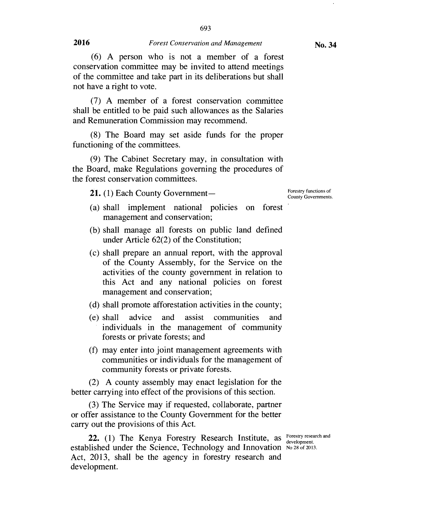(6) A person who is not a member of a forest conservation committee may be invited to attend meetings of the committee and take part in its deliberations but shall not have a right to vote.

(7) A member of a forest conservation committee shall be entitled to be paid such allowances as the Salaries and Remuneration Commission may recommend.

(8) The Board may set aside funds for the proper functioning of the committees.

(9) The Cabinet Secretary may, in consultation with the Board, make Regulations governing the procedures of the forest conservation committees.

21. (1) Each County Government-

Forestry functions of County Governments.

- (a) shall implement national policies on forest management and conservation;
- (b) shall manage all forests on public land defined under Article 62(2) of the Constitution;
- (c) shall prepare an annual report, with the approval of the County Assembly, for the Service on the activities of the county government in relation to this Act and any national policies on forest management and conservation;
- (d) shall promote afforestation activities in the county;
- (e) shall advice and assist communities and individuals in the management of community forests or private forests; and
- (f) may enter into joint management agreements with communities or individuals for the management of community forests or private forests.

(2) A county assembly may enact legislation for the better carrying into effect of the provisions of this section.

(3) The Service may if requested, collaborate, partner or offer assistance to the County Government for the better carry out the provisions of this Act.

**22.** (1) The Kenya Forestry Research Institute, as Forestry research and established under the Science, Technology and Innovation No 28 of 2013. Act, 2013, shall be the agency in forestry research and development.

development.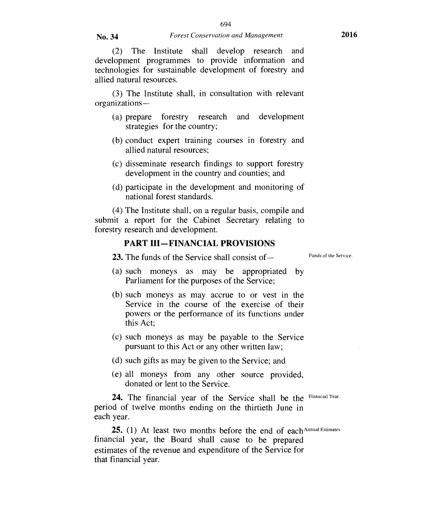(2) The Institute shall develop research and development programmes to provide information and technologies for sustainable development of forestry and allied natural resources.

(3) The Institute shall, in consultation with relevant organizations —

- (a) prepare forestry research and development strategies for the country;
- (b) conduct expert training courses in forestry and allied natural resources;
- (c) disseminate research findings to support forestry development in the country and counties; and
- (d) participate in the development and monitoring of national forest standards.

(4) The Institute shall, on a regular basis, compile and submit a report for the Cabinet Secretary relating to forestry research and development.

## **PART III—FINANCIAL PROVISIONS**

23. The funds of the Service shall consist of — Funds of the Service.

- (a) such moneys as may be appropriated by Parliament for the purposes of the Service;
- (b) such moneys as may accrue to or vest in the Service in the course of the exercise of their powers or the performance of its functions under this Act;
- (c) such moneys as may be payable to the Service pursuant to this Act or any other written law;
- (d) such gifts as may be given to the Service; and
- (e) all moneys from any other source provided, donated or lent to the Service.

24. The financial year of the Service shall be the Financial Year. period of twelve months ending on the thirtieth June in each year.

25. (1) At least two months before the end of each Annual Estimates financial year, the Board shall cause to be prepared estimates of the revenue and expenditure of the Service for that financial year.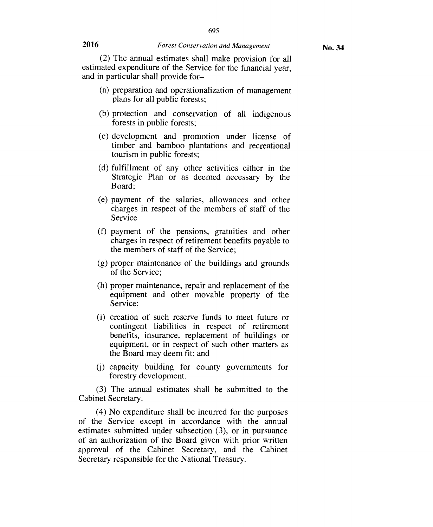(2) The annual estimates shall make provision for all estimated expenditure of the Service for the financial year, and in particular shall provide for—

- (a) preparation and operationalization of management plans for all public forests;
- (b) protection and conservation of all indigenous forests in public forests;
- (c) development and promotion under license of timber and bamboo plantations and recreational tourism in public forests;
- (d) fulfillment of any other activities either in the Strategic Plan or as deemed necessary by the Board;
- (e) payment of the salaries, allowances and other charges in respect of the members of staff of the Service
- (f) payment of the pensions, gratuities and other charges in respect of retirement benefits payable to the members of staff of the Service;
- (g) proper maintenance of the buildings and grounds of the Service;
- (h) proper maintenance, repair and replacement of the equipment and other movable property of the Service;
- (i) creation of such reserve funds to meet future or contingent liabilities in respect of retirement benefits, insurance, replacement of buildings or equipment, or in respect of such other matters as the Board may deem fit; and
- (j) capacity building for county governments for forestry development.

(3) The annual estimates shall be submitted to the Cabinet Secretary.

(4) No expenditure shall be incurred for the purposes of the Service except in accordance with the annual estimates submitted under subsection (3), or in pursuance of an authorization of the Board given with prior written approval of the Cabinet Secretary, and the Cabinet Secretary responsible for the National Treasury.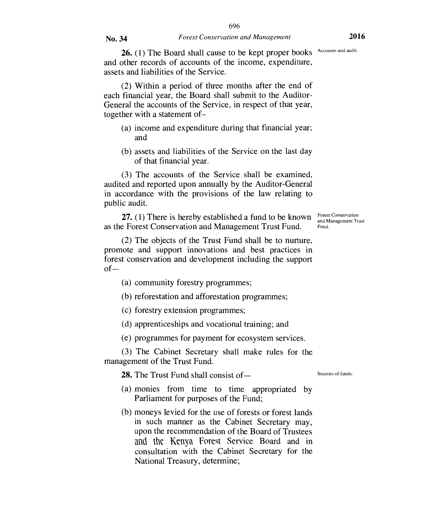26. (1) The Board shall cause to be kept proper books Accounts and audit. and other records of accounts of the income, expenditure, assets and liabilities of the Service.

(2) Within a period of three months after the end of each financial year, the Board shall submit to the Auditor-General the accounts of the Service, in respect of that year, together with a statement of—

- (a) income and expenditure during that financial year; and
- (b) assets and liabilities of the Service on the last day of that financial year.

(3) The accounts of the Service shall be examined, audited and reported upon annually by the Auditor-General in accordance with the provisions of the law relating to public audit.

as the Forest Conservation and Management Trust Fund. **27.** (1) There is hereby established a fund to be known Forest Conservation and Management Trust

(2) The objects of the Trust Fund shall be to nurture, promote and support innovations and best practices in forest conservation and development including the support of—

(a) community forestry programmes;

(b) reforestation and afforestation programmes;

(c) forestry extension programmes;

(d) apprenticeships and vocational training; and

(e) programmes for payment for ecosystem services.

(3) The Cabinet Secretary shall make rules for the management of the Trust Fund.

**28.** The Trust Fund shall consist of — Sources of funds

- (a) monies from time to time appropriated by Parliament for purposes of the Fund;
- (b) moneys levied for the use of forests or forest lands in such manner as the Cabinet Secretary may, upon the recommendation of the Board of Trustees and the Kenya Forest Service Board and in consultation with the Cabinet Secretary for the National Treasury, determine;

Forest Conservation Fund.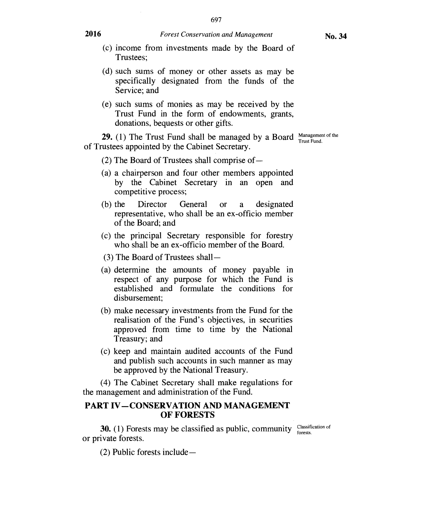- (c) income from investments made by the Board of Trustees;
- (d) such sums of money or other assets as may be specifically designated from the funds of the Service; and
- (e) such sums of monies as may be received by the Trust Fund in the form of endowments, grants, donations, bequests or other gifts.

**29.** (1) The Trust Fund shall be managed by a Board Management of the of Trustees appointed by the Cabinet Secretary.

- (2) The Board of Trustees shall comprise of  $-$
- (a) a chairperson and four other members appointed by the Cabinet Secretary in an open and competitive process;
- (b) the Director General or a designated representative, who shall be an ex-officio member of the Board; and
- (c) the principal Secretary responsible for forestry who shall be an ex-officio member of the Board.
- (3) The Board of Trustees shall —
- (a) determine the amounts of money payable in respect of any purpose for which the Fund is established and formulate the conditions for disbursement;
- (b) make necessary investments from the Fund for the realisation of the Fund's objectives, in securities approved from time to time by the National Treasury; and
- (c) keep and maintain audited accounts of the Fund and publish such accounts in such manner as may be approved by the National Treasury.

(4) The Cabinet Secretary shall make regulations for the management and administration of the Fund.

#### **PART IV—CONSERVATION AND MANAGEMENT OF FORESTS**

(2) Public forests include—

**30.** (1) Forests may be classified as public, community  $\frac{\text{Classification of}}{\text{forest}}$ forests.<br>or private forests.

**2016** *Forest Conservation and Management*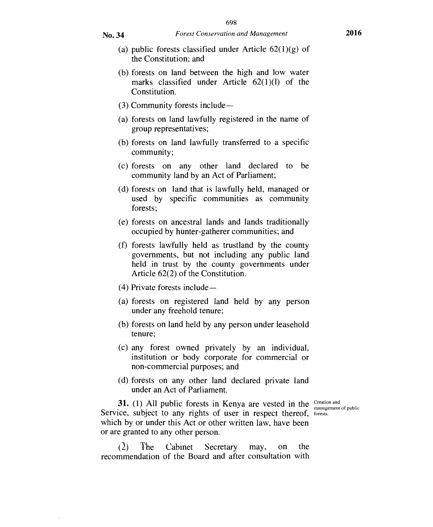- (a) public forests classified under Article  $62(1)(g)$  of the Constitution; and
- (b) forests on land between the high and low water marks classified under Article 62(1)(1) of the Constitution.
- (3) Community forests include —
- (a) forests on land lawfully registered in the name of group representatives;
- (b) forests on land lawfully transferred to a specific community;
- (c) forests on any other land declared to be community land by an Act of Parliament;
- (d) forests on land that is lawfully held, managed or used by specific communities as community forests;
- (e) forests on ancestral lands and lands traditionally occupied by hunter-gatherer communities; and
- (f) forests lawfully held as trustland by the county governments, but not including any public land held in trust by the county governments under Article 62(2) of the Constitution.
- (4) Private forests include —
- (a) forests on registered land held by any person under any freehold tenure;
- (b) forests on land held by any person under leasehold tenure;
- (c) any forest owned privately by an individual, institution or body corporate for commercial or non-commercial purposes; and
- (d) forests on any other land declared private land under an Act of Parliament.

**31.** (1) All public forests in Kenya are vested in the  $\frac{C_{\text{reaction and}}}{m\text{ measurement}}$ Service, subject to any rights of user in respect thereof, forests. which by or under this Act or other written law, have been or are granted to any other person.

management of public

(2) The Cabinet Secretary may, on the recommendation of the Board and after consultation with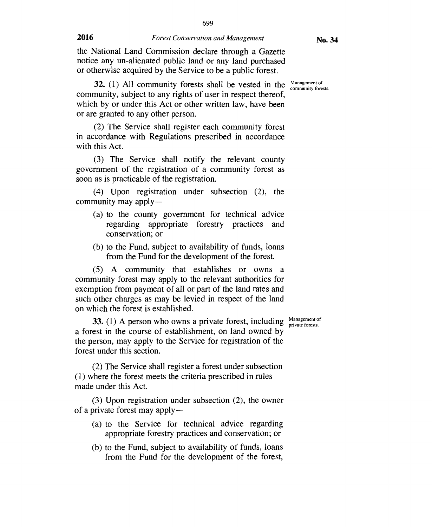**No. 34** 

the National Land Commission declare through a Gazette notice any un-alienated public land or any land purchased or otherwise acquired by the Service to be a public forest.

**32.** (1) All community forests shall be vested in the  $\frac{\text{Management of}}{\text{community forests.}}$ community, subject to any rights of user in respect thereof, which by or under this Act or other written law, have been or are granted to any other person.

(2) The Service shall register each community forest in accordance with Regulations prescribed in accordance with this Act.

(3) The Service shall notify the relevant county government of the registration of a community forest as soon as is practicable of the registration.

(4) Upon registration under subsection (2), the community may apply —

- (a) to the county government for technical advice regarding appropriate forestry practices and conservation; or
- (b) to the Fund, subject to availability of funds, loans from the Fund for the development of the forest.

(5) A community that establishes or owns a community forest may apply to the relevant authorities for exemption from payment of all or part of the land rates and such other charges as may be levied in respect of the land on which the forest is established.

**33.** (1) A person who owns a private forest, including  $\frac{\text{Management of}}{\text{private forest}}$ a forest in the course of establishment, on land owned by the person, may apply to the Service for registration of the forest under this section.

(2) The Service shall register a forest under subsection (1) where the forest meets the criteria prescribed in rules made under this Act.

(3) Upon registration under subsection (2), the owner of a private forest may apply —

- (a) to the Service for technical advice regarding appropriate forestry practices and conservation; or
- (b) to the Fund, subject to availability of funds, loans from the Fund for the development of the forest,

private forests.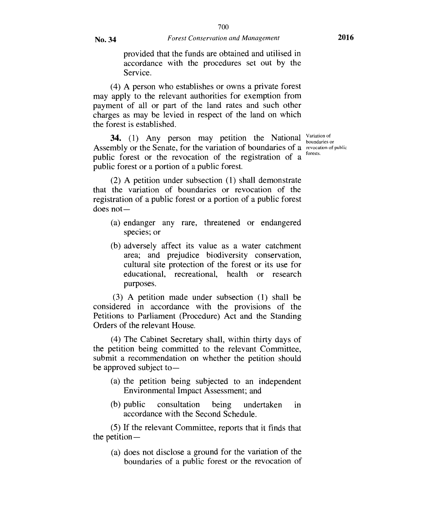provided that the funds are obtained and utilised in accordance with the procedures set out by the Service.

(4) A person who establishes or owns a private forest may apply to the relevant authorities for exemption from payment of all or part of the land rates and such other charges as may be levied in respect of the land on which the forest is established.

**34.** (1) Any person may petition the National Variation of Assembly or the Senate, for the variation of boundaries of a revocation of public public forest or the revocation of the registration of a public forest or a portion of a public forest.

boundaries or forests.

(2) A petition under subsection (1) shall demonstrate that the variation of boundaries or revocation of the registration of a public forest or a portion of a public forest does not-

- (a) endanger any rare, threatened or endangered species; or
- (b) adversely affect its value as a water catchment area; and prejudice biodiversity conservation, cultural site protection of the forest or its use for educational, recreational, health or research purposes.

(3) A petition made under subsection (1) shall be considered in accordance with the provisions of the Petitions to Parliament (Procedure) Act and the Standing Orders of the relevant House.

(4) The Cabinet Secretary shall, within thirty days of the petition being committed to the relevant Committee, submit a recommendation on whether the petition should be approved subject to —

- (a) the petition being subjected to an independent Environmental Impact Assessment; and
- (b) public consultation being undertaken in accordance with the Second Schedule.

(5) If the relevant Committee, reports that it finds that the petition —

(a) does not disclose a ground for the variation of the boundaries of a public forest or the revocation of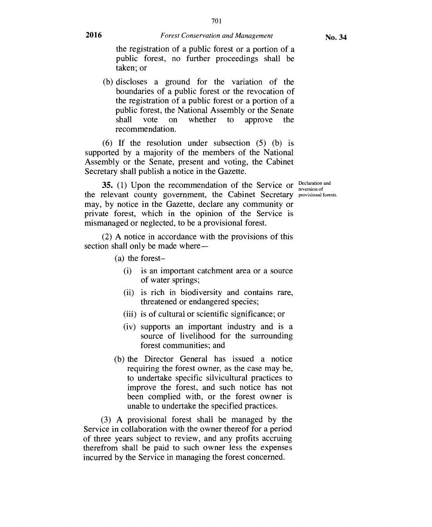reversion of

the registration of a public forest or a portion of a public forest, no further proceedings shall be taken; or

(b) discloses a ground for the variation of the boundaries of a public forest or the revocation of the registration of a public forest or a portion of a public forest, the National Assembly or the Senate<br>shall vote on whether to approve the shall vote on whether to approve the recommendation.

(6) If the resolution under subsection (5) (b) is supported by a majority of the members of the National Assembly or the Senate, present and voting, the Cabinet Secretary shall publish a notice in the Gazette.

**35.** (1) Upon the recommendation of the Service or  $\frac{Declaration and P}{reversion of}$ the relevant county government, the Cabinet Secretary provisional forests. may, by notice in the Gazette, declare any community or private forest, which in the opinion of the Service is mismanaged or neglected, to be a provisional forest.

(2) A notice in accordance with the provisions of this section shall only be made where —

- (a) the forest-
	- (i) is an important catchment area or a source of water springs;
	- (ii) is rich in biodiversity and contains rare, threatened or endangered species;
	- (iii) is of cultural or scientific significance; or
	- (iv) supports an important industry and is a source of livelihood for the surrounding forest communities; and
- (b) the Director General has issued a notice requiring the forest owner, as the case may be, to undertake specific silvicultural practices to improve the forest, and such notice has not been complied with, or the forest owner is unable to undertake the specified practices.

(3) A provisional forest shall be managed by the Service in collaboration with the owner thereof for a period of three years subject to review, and any profits accruing therefrom shall be paid to such owner less the expenses incurred by the Service in managing the forest concerned.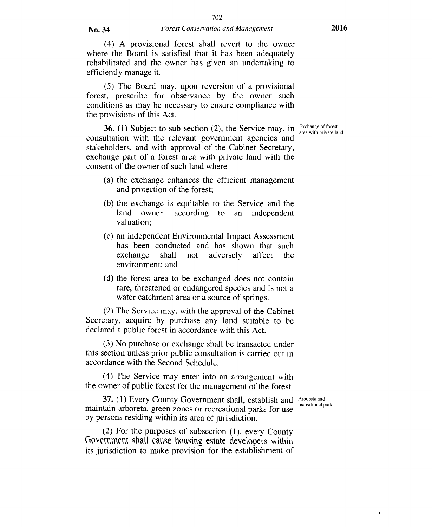(4) A provisional forest shall revert to the owner where the Board is satisfied that it has been adequately rehabilitated and the owner has given an undertaking to efficiently manage it.

(5) The Board may, upon reversion of a provisional forest, prescribe for observance by the owner such conditions as may be necessary to ensure compliance with the provisions of this Act.

**36.** (1) Subject to sub-section (2), the Service may, in Exchange of forest consultation with the relevant government agencies and stakeholders, and with approval of the Cabinet Secretary, exchange part of a forest area with private land with the consent of the owner of such land where—

- (a) the exchange enhances the efficient management and protection of the forest;
- (b) the exchange is equitable to the Service and the land owner, according to an independent valuation;
- (c) an independent Environmental Impact Assessment has been conducted and has shown that such exchange shall not adversely affect the environment; and
- (d) the forest area to be exchanged does not contain rare, threatened or endangered species and is not a water catchment area or a source of springs.

(2) The Service may, with the approval of the Cabinet Secretary, acquire by purchase any land suitable to be declared a public forest in accordance with this Act.

(3) No purchase or exchange shall be transacted under this section unless prior public consultation is carried out in accordance with the Second Schedule.

(4) The Service may enter into an arrangement with the owner of public forest for the management of the forest.

recreational parks.

 $\mathbf{I}$ 

37. (1) Every County Government shall, establish and Arboreta and maintain arboreta, green zones or recreational parks for use by persons residing within its area of jurisdiction.

(2) For the purposes of subsection (1), every County Government shall cause housing estate developers within its jurisdiction to make provision for the establishment of area with private land.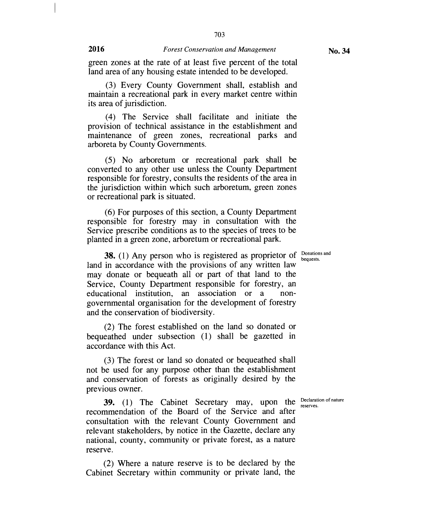703

green zones at the rate of at least five percent of the total land area of any housing estate intended to be developed.

(3) Every County Government shall, establish and maintain a recreational park in every market centre within its area of jurisdiction.

(4) The Service shall facilitate and initiate the provision of technical assistance in the establishment and maintenance of green zones, recreational parks and arboreta by County Governments.

(5) No arboretum or recreational park shall be converted to any other use unless the County Department responsible for forestry, consults the residents of the area in the jurisdiction within which such arboretum, green zones or recreational park is situated.

(6) For purposes of this section, a County Department responsible for forestry may in consultation with the Service prescribe conditions as to the species of trees to be planted in a green zone, arboretum or recreational park.

**38.** (1) Any person who is registered as proprietor of **Donations** and land in accordance with the provisions of any written law may donate or bequeath all or part of that land to the Service, County Department responsible for forestry, an educational institution, an association or a nongovernmental organisation for the development of forestry and the conservation of biodiversity.

(2) The forest established on the land so donated or bequeathed under subsection (1) shall be gazetted in accordance with this Act.

(3) The forest or land so donated or bequeathed shall not be used for any purpose other than the establishment and conservation of forests as originally desired by the previous owner.

**39.** (1) The Cabinet Secretary may, upon the Declaration of nature recommendation of the Board of the Service and after consultation with the relevant County Government and relevant stakeholders, by notice in the Gazette, declare any national, county, community or private forest, as a nature reserve.

(2) Where a nature reserve is to be declared by the Cabinet Secretary within community or private land, the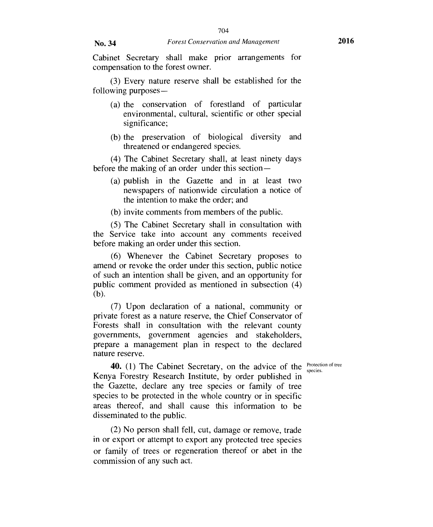Cabinet Secretary shall make prior arrangements for compensation to the forest owner.

(3) Every nature reserve shall be established for the following purposes —

- (a) the conservation of forestland of particular environmental, cultural, scientific or other special significance:
- (b) the preservation of biological diversity and threatened or endangered species.

(4) The Cabinet Secretary shall, at least ninety days before the making of an order under this section

- (a) publish in the Gazette and in at least two newspapers of nationwide circulation a notice of the intention to make the order; and
- (b) invite comments from members of the public.

(5) The Cabinet Secretary shall in consultation with the Service take into account any comments received before making an order under this section.

(6) Whenever the Cabinet Secretary proposes to amend or revoke the order under this section, public notice of such an intention shall be given, and an opportunity for public comment provided as mentioned in subsection (4) (b).

(7) Upon declaration of a national, community or private forest as a nature reserve, the Chief Conservator of Forests shall in consultation with the relevant county governments, government agencies and stakeholders, prepare a management plan in respect to the declared nature reserve.

species.

**40.** (1) The Cabinet Secretary, on the advice of the Protection of tree Kenya Forestry Research Institute, by order published in the Gazette, declare any tree species or family of tree species to be protected in the whole country or in specific areas thereof, and shall cause this information to be disseminated to the public.

(2) No person shall fell, cut, damage or remove, trade in or export or attempt to export any protected tree species or family of trees or regeneration thereof or abet in the commission of any such act.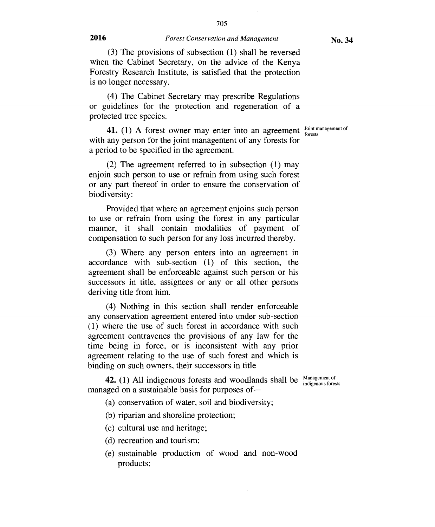(3) The provisions of subsection (1) shall be reversed when the Cabinet Secretary, on the advice of the Kenya Forestry Research Institute, is satisfied that the protection is no longer necessary.

(4) The Cabinet Secretary may prescribe Regulations or guidelines for the protection and regeneration of a protected tree species.

forests

**41.** (1) A forest owner may enter into an agreement  $\frac{\text{Joint management of}}{\text{forest}}$ with any person for the joint management of any forests for a period to be specified in the agreement.

(2) The agreement referred to in subsection (1) may enjoin such person to use or refrain from using such forest or any part thereof in order to ensure the conservation of biodiversity:

Provided that where an agreement enjoins such person to use or refrain from using the forest in any particular manner, it shall contain modalities of payment of compensation to such person for any loss incurred thereby.

(3) Where any person enters into an agreement in accordance with sub-section (1) of this section, the agreement shall be enforceable against such person or his successors in title, assignees or any or all other persons deriving title from him.

(4) Nothing in this section shall render enforceable any conservation agreement entered into under sub-section (1) where the use of such forest in accordance with such agreement contravenes the provisions of any law for the time being in force, or is inconsistent with any prior agreement relating to the use of such forest and which is binding on such owners, their successors in title

**42.** (1) All indigenous forests and woodlands shall be Management of indigenous forests managed on a sustainable basis for purposes of —

(a) conservation of water, soil and biodiversity;

(b) riparian and shoreline protection;

(c) cultural use and heritage;

(d) recreation and tourism;

(e) sustainable production of wood and non-wood products;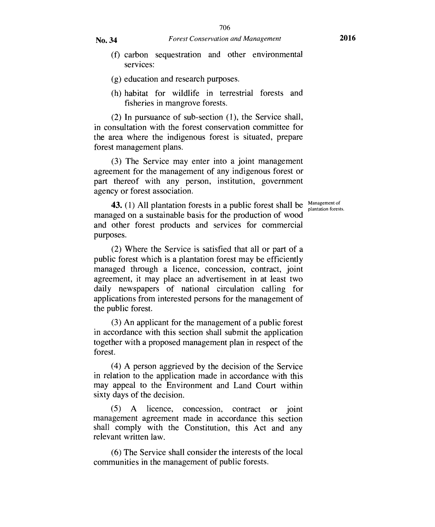- (f) carbon sequestration and other environmental services:
- (g) education and research purposes.
- (h) habitat for wildlife in terrestrial forests and fisheries in mangrove forests.

(2) In pursuance of sub-section (1), the Service shall, in consultation with the forest conservation committee for the area where the indigenous forest is situated, prepare forest management plans.

(3) The Service may enter into a joint management agreement for the management of any indigenous forest or part thereof with any person, institution, government agency or forest association.

plantation forests.

**43.** (1) All plantation forests in a public forest shall be  $\frac{\text{Management of}}{\text{plantation forest}}$ managed on a sustainable basis for the production of wood and other forest products and services for commercial purposes.

(2) Where the Service is satisfied that all or part of a public forest which is a plantation forest may be efficiently managed through a licence, concession, contract, joint agreement, it may place an advertisement in at least two daily newspapers of national circulation calling for applications from interested persons for the management of the public forest.

(3) An applicant for the management of a public forest in accordance with this section shall submit the application together with a proposed management plan in respect of the forest.

(4) A person aggrieved by the decision of the Service in relation to the application made in accordance with this may appeal to the Environment and Land Court within sixty days of the decision.

(5) A licence, concession, contract or joint management agreement made in accordance this section shall comply with the Constitution, this Act and any relevant written law.

(6) The Service shall consider the interests of the local communities in the management of public forests.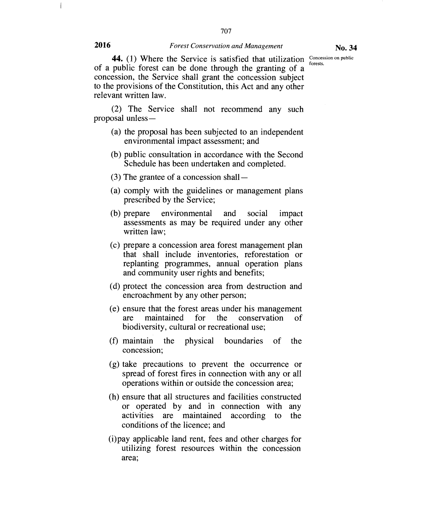707

**44.** (1) Where the Service is satisfied that utilization Concession on public results. forests. of a public forest can be done through the granting of a concession, the Service shall grant the concession subject to the provisions of the Constitution, this Act and any other relevant written law.

(2) The Service shall not recommend any such proposal unless —

- (a) the proposal has been subjected to an independent environmental impact assessment; and
- (b) public consultation in accordance with the Second Schedule has been undertaken and completed.
- (3) The grantee of a concession shall —
- (a) comply with the guidelines or management plans prescribed by the Service;
- (b) prepare environmental and social impact assessments as may be required under any other written law;
- (c) prepare a concession area forest management plan that shall include inventories, reforestation or replanting programmes, annual operation plans and community user rights and benefits;
- (d) protect the concession area from destruction and encroachment by any other person;
- (e) ensure that the forest areas under his management are maintained for the conservation of biodiversity, cultural or recreational use;
- (f) maintain the physical boundaries of the concession;
- (g) take precautions to prevent the occurrence or spread of forest fires in connection with any or all operations within or outside the concession area;
- (h) ensure that all structures and facilities constructed or operated by and in connection with any activities are maintained according to the conditions of the licence; and
- (i)pay applicable land rent, fees and other charges for utilizing forest resources within the concession area;

 $\overline{\phantom{a}}$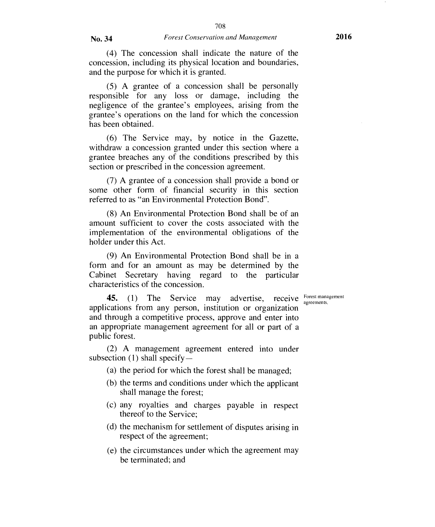(5) A grantee of a concession shall be personally responsible for any loss or damage, including the negligence of the grantee's employees, arising from the grantee's operations on the land for which the concession has been obtained.

(6) The Service may, by notice in the Gazette, withdraw a concession granted under this section where a grantee breaches any of the conditions prescribed by this section or prescribed in the concession agreement.

(7) A grantee of a concession shall provide a bond or some other form of financial security in this section referred to as "an Environmental Protection Bond".

(8) An Environmental Protection Bond shall be of an amount sufficient to cover the costs associated with the implementation of the environmental obligations of the holder under this Act.

(9) An Environmental Protection Bond shall be in a form and for an amount as may be determined by the Cabinet Secretary having regard to the particular characteristics of the concession.

agreements.

**45.** (1) The Service may applications from any person, institution or organization and through a competitive process, approve and enter into an appropriate management agreement for all or part of a public forest. advertise, receive Forest management

(2) A management agreement entered into under subsection  $(1)$  shall specify —

- (a) the period for which the forest shall be managed;
- (b) the terms and conditions under which the applicant shall manage the forest;
- (c) any royalties and charges payable in respect thereof to the Service;
- (d) the mechanism for settlement of disputes arising in respect of the agreement;
- (e) the circumstances under which the agreement may be terminated; and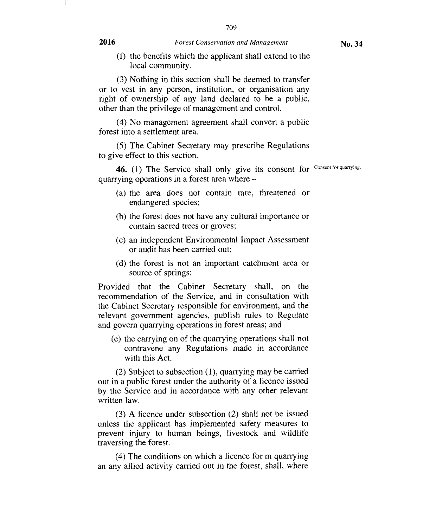709

(f) the benefits which the applicant shall extend to the local community.

(3) Nothing in this section shall be deemed to transfer or to vest in any person, institution, or organisation any right of ownership of any land declared to be a public, other than the privilege of management and control.

(4) No management agreement shall convert a public forest into a settlement area.

(5) The Cabinet Secretary may prescribe Regulations to give effect to this section.

46. (1) The Service shall only give its consent for Consent for quarrying. quarrying operations in a forest area where —

- (a) the area does not contain rare, threatened or endangered species;
- (b) the forest does not have any cultural importance or contain sacred trees or groves;
- *(c)* an independent Environmental Impact Assessment or audit has been carried out;
- (d) the forest is not an important catchment area or source of springs:

Provided that the Cabinet Secretary shall, on the recommendation of the Service, and in consultation with the Cabinet Secretary responsible for environment, and the relevant government agencies, publish rules to Regulate and govern quarrying operations in forest areas; and

(e) the carrying on of the quarrying operations shall not contravene any Regulations made in accordance with this Act.

(2) Subject to subsection (1), quarrying may be carried out in a public forest under the authority of a licence issued by the Service and in accordance with any other relevant written law.

(3) A licence under subsection (2) shall not be issued unless the applicant has implemented safety measures to prevent injury to human beings, livestock and wildlife traversing the forest.

(4) The conditions on which a licence for m quarrying an any allied activity carried out in the forest, shall, where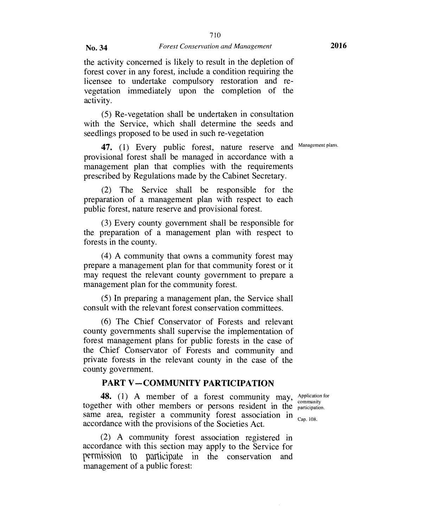the activity concerned is likely to result in the depletion of forest cover in any forest, include a condition requiring the licensee to undertake compulsory restoration and revegetation immediately upon the completion of the activity.

(5) Re-vegetation shall be undertaken in consultation with the Service, which shall determine the seeds and seedlings proposed to be used in such re-vegetation

47. (1) Every public forest, nature reserve and Management plans. provisional forest shall be managed in accordance with a management plan that complies with the requirements prescribed by Regulations made by the Cabinet Secretary.

(2) The Service shall be responsible for the preparation of a management plan with respect to each public forest, nature reserve and provisional forest.

(3) Every county government shall be responsible for the preparation of a management plan with respect to forests in the county.

(4) A community that owns a community forest may prepare a management plan for that community forest or it may request the relevant county government to prepare a management plan for the community forest.

(5) In preparing a management plan, the Service shall consult with the relevant forest conservation committees.

(6) The Chief Conservator of Forests and relevant county governments shall supervise the implementation of forest management plans for public forests in the case of the Chief Conservator of Forests and community and private forests in the relevant county in the case of the county government.

## **PART V —COMMUNITY PARTICIPATION**

**48.** (1) A member of a forest community may, Application for together with other members or persons resident in the participation. same area, register a community forest association in  $_{Cap. 108}$ . accordance with the provisions of the Societies Act.

(2) A community forest association registered in accordance with this section may apply to the Service for permission to participate in the conservation and management of a public forest: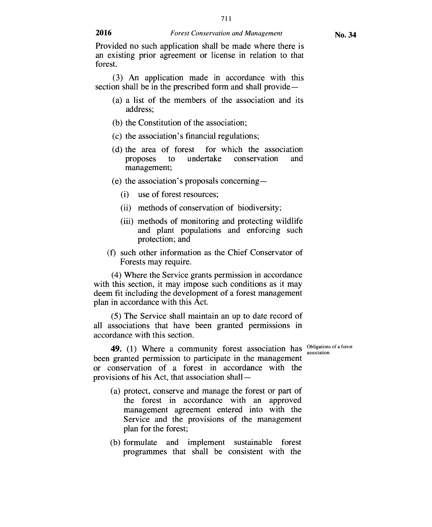711

Provided no such application shall be made where there is an existing prior agreement or license in relation to that forest.

(3) An application made in accordance with this section shall be in the prescribed form and shall provide —

- (a) a list of the members of the association and its address;
- (b) the Constitution of the association;
- (c) the association's financial regulations;
- (d) the area of forest for which the association proposes to undertake conservation and management;
- (e) the association's proposals concerning
	- (i) use of forest resources;
	- (ii) methods of conservation of biodiversity;
	- (iii) methods of monitoring and protecting wildlife and plant populations and enforcing such protection; and
- (f) such other information as the Chief Conservator of Forests may require.

(4) Where the Service grants permission in accordance with this section, it may impose such conditions as it may deem fit including the development of a forest management plan in accordance with this Act.

(5) The Service shall maintain an up to date record of all associations that have been granted permissions in accordance with this section.

association.

**49.** (1) Where a community forest association has **Obligations** of a forest been granted permission to participate in the management or conservation of a forest in accordance with the provisions of his Act, that association shall —

- (a) protect, conserve and manage the forest or part of the forest in accordance with an approved management agreement entered into with the Service and the provisions of the management plan for the forest;
- (b) formulate and implement sustainable forest programmes that shall be consistent with the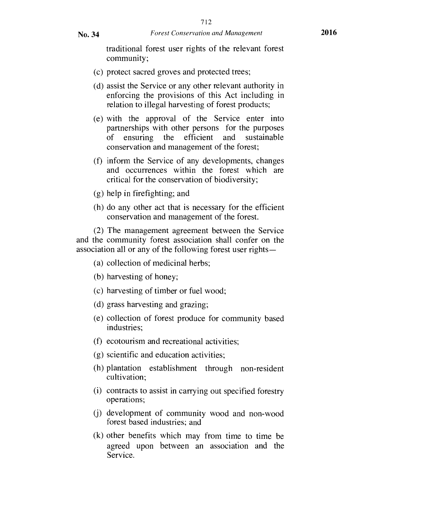traditional forest user rights of the relevant forest community;

- (c) protect sacred groves and protected trees;
- (d) assist the Service or any other relevant authority in enforcing the provisions of this Act including in relation to illegal harvesting of forest products;
- (e) with the approval of the Service enter into partnerships with other persons for the purposes of ensuring the efficient and sustainable conservation and management of the forest;
- (f) inform the Service of any developments, changes and occurrences within the forest which are critical for the conservation of biodiversity;
- (g) help in firefighting; and
- (h) do any other act that is necessary for the efficient conservation and management of the forest.

(2) The management agreement between the Service and the community forest association shall confer on the association all or any of the following forest user rights —

- (a) collection of medicinal herbs;
- (b) harvesting of honey;
- (c) harvesting of timber or fuel wood;
- (d) grass harvesting and grazing;
- (e) collection of forest produce for community based industries;
- (f) ecotourism and recreational activities;
- (g) scientific and education activities;
- (h) plantation establishment through non-resident cultivation;
- (i) contracts to assist in carrying out specified forestry operations;
- (j) development of community wood and non-wood forest based industries; and
- (k) other benefits which may from time to time be agreed upon between an association and the Service.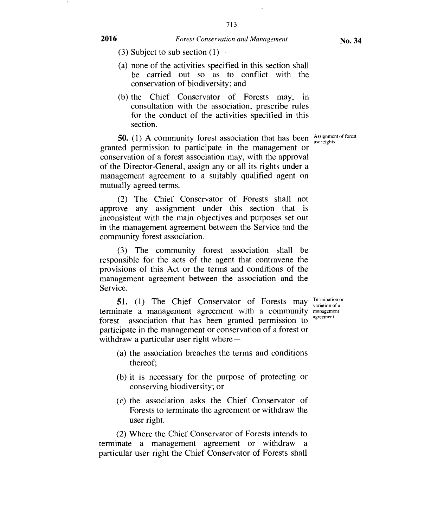- (3) Subject to sub section  $(1)$  –
- (a) none of the activities specified in this section shall be carried out so as to conflict with the conservation of biodiversity; and
- (b) the Chief Conservator of Forests may, in consultation with the association, prescribe rules for the conduct of the activities specified in this section.

user rights.

**50.** (1) A community forest association that has been  $\frac{\text{Assignment of forest}}{\text{user rights}}$ granted permission to participate in the management or conservation of a forest association may, with the approval of the Director-General, assign any or all its rights under a management agreement to a suitably qualified agent on mutually agreed terms.

(2) The Chief Conservator of Forests shall not approve any assignment under this section that is inconsistent with the main objectives and purposes set out in the management agreement between the Service and the community forest association.

(3) The community forest association shall be responsible for the acts of the agent that contravene the provisions of this Act or the terms and conditions of the management agreement between the association and the Service.

**51.** (1) The Chief Conservator of Forests may Termination or terminate a management agreement with a community management forest association that has been granted permission to participate in the management or conservation of a forest or withdraw a particular user right where—

- variation of a agreement.
- (a) the association breaches the terms and conditions thereof;
- (b) it is necessary for the purpose of protecting or conserving biodiversity; or
- (c) the association asks the Chief Conservator of Forests to terminate the agreement or withdraw the user right.

(2) Where the Chief Conservator of Forests intends to terminate a management agreement or withdraw a particular user right the Chief Conservator of Forests shall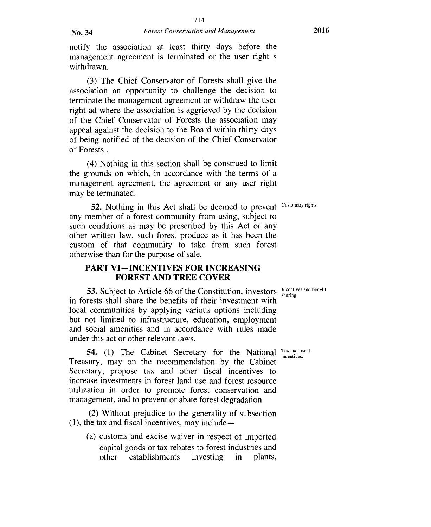notify the association at least thirty days before the management agreement is terminated or the user right s withdrawn.

(3) The Chief Conservator of Forests shall give the association an opportunity to challenge the decision to terminate the management agreement or withdraw the user right ad where the association is aggrieved by the decision of the Chief Conservator of Forests the association may appeal against the decision to the Board within thirty days of being notified of the decision of the Chief Conservator of Forests .

(4) Nothing in this section shall be construed to limit the grounds on which, in accordance with the terms of a management agreement, the agreement or any user right may be terminated.

**52.** Nothing in this Act shall be deemed to prevent any member of a forest community from using, subject to such conditions as may be prescribed by this Act or any other written law, such forest produce as it has been the custom of that community to take from such forest otherwise than for the purpose of sale. Customary rights.

## **PART VI—INCENTIVES FOR INCREASING FOREST AND TREE COVER**

sharing.

**53.** Subject to Article 66 of the Constitution, investors  $\frac{\text{Incentives and benefit}}{\text{sharp}}$ in forests shall share the benefits of their investment with local communities by applying various options including but not limited to infrastructure, education, employment and social amenities and in accordance with rules made under this act or other relevant laws.

**54.** (1) The Cabinet Secretary for the National Tax and fiscal Treasury, may on the recommendation by the Cabinet Secretary, propose tax and other fiscal incentives to increase investments in forest land use and forest resource utilization in order to promote forest conservation and management, and to prevent or abate forest degradation. incentives.

(2) Without prejudice to the generality of subsection (1), the tax and fiscal incentives, may include —

(a) customs and excise waiver in respect of imported capital goods or tax rebates to forest industries and other establishments investing in plants,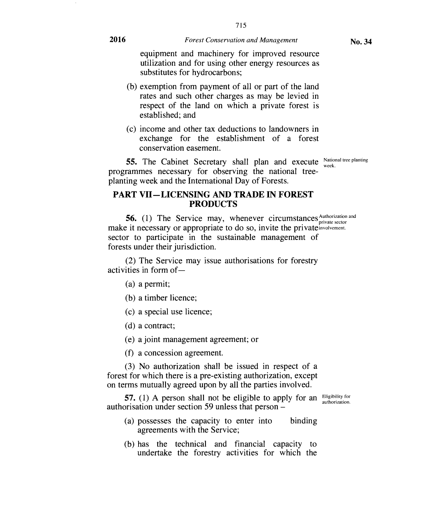715

equipment and machinery for improved resource utilization and for using other energy resources as substitutes for hydrocarbons;

- (b) exemption from payment of all or part of the land rates and such other charges as may be levied in respect of the land on which a private forest is established; and
- (c) income and other tax deductions to landowners in exchange for the establishment of a forest conservation easement.

**55.** The Cabinet Secretary shall plan and execute National tree planting programmes necessary for observing the national treeplanting week and the International Day of Forests.

### **PART VII—LICENSING AND TRADE IN FOREST PRODUCTS**

**56.** (1) The Service may, whenever circumstances Authorization and make it necessary or appropriate to do so, invite the private involvement. sector to participate in the sustainable management of forests under their jurisdiction.

(2) The Service may issue authorisations for forestry activities in form of—

- (a) a permit;
- (b) a timber licence;
- (c) a special use licence;
- (d) a contract;

(e) a joint management agreement; or

(f) a concession agreement.

(3) No authorization shall be issued in respect of a forest for which there is a pre-existing authorization, except on terms mutually agreed upon by all the parties involved.

**57.** (1) A person shall not be eligible to apply for an Eligibility for authorisation under section 59 unless that person –

authorization.

- (a) possesses the capacity to enter into binding agreements with the Service;
- (b) has the technical and financial capacity to undertake the forestry activities for which the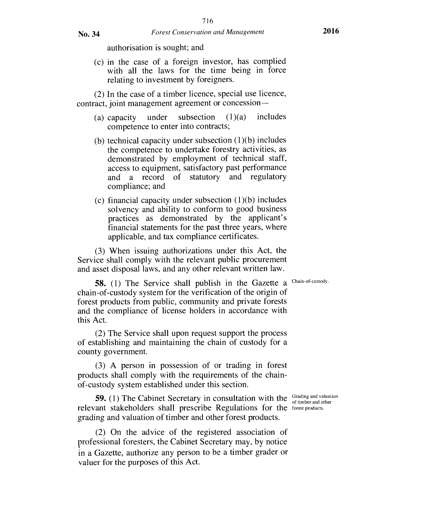authorisation is sought; and

(c) in the case of a foreign investor, has complied with all the laws for the time being in force relating to investment by foreigners.

(2) In the case of a timber licence, special use licence, contract, joint management agreement or concession —

- (a) capacity under subsection  $(1)(a)$  includes competence to enter into contracts;
- (b) technical capacity under subsection  $(1)(b)$  includes the competence to undertake forestry activities, as demonstrated by employment of technical staff, access to equipment, satisfactory past performance and a record of statutory and regulatory compliance; and
- (c) financial capacity under subsection  $(1)(b)$  includes solvency and ability to conform to good business practices as demonstrated by the applicant's financial statements for the past three years, where applicable, and tax compliance certificates.

(3) When issuing authorizations under this Act, the Service shall comply with the relevant public procurement and asset disposal laws, and any other relevant written law.

58. (1) The Service shall publish in the Gazette a Chain-of-custody. chain-of-custody system for the verification of the origin of forest products from public, community and private forests and the compliance of license holders in accordance with this Act.

(2) The Service shall upon request support the process of establishing and maintaining the chain of custody for a county government.

(3) A person in possession of or trading in forest products shall comply with the requirements of the chainof-custody system established under this section.

**59.** (1) The Cabinet Secretary in consultation with the <sup>Grading and valuation of timber and other</sup> relevant stakeholders shall prescribe Regulations for the forest products. grading and valuation of timber and other forest products.

(2) On the advice of the registered association of professional foresters, the Cabinet Secretary may, by notice in a Gazette, authorize any person to be a timber grader or valuer for the purposes of this Act.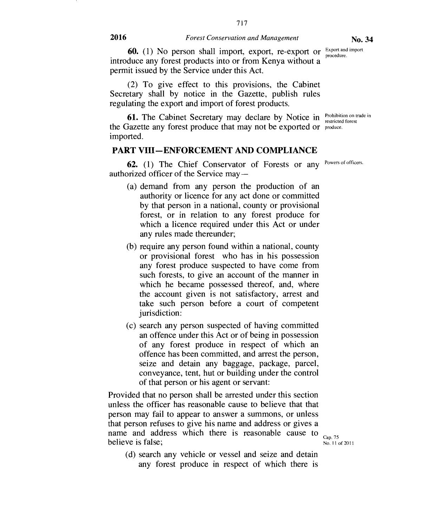717

**60.** (1) No person shall import, export, re-export or  $\frac{Expected line}{procedure}$ introduce any forest products into or from Kenya without a permit issued by the Service under this Act. procedure.

(2) To give effect to this provisions, the Cabinet Secretary shall by notice in the Gazette, publish rules regulating the export and import of forest products.

**61.** The Cabinet Secretary may declare by Notice in **Prohibition on trade in** the Gazette any forest produce that may not be exported or produce. imported.

#### **PART VIII—ENFORCEMENT AND COMPLIANCE**

62. (1) The Chief Conservator of Forests or any Powers of officers. authorized officer of the Service may —

- (a) demand from any person the production of an authority or licence for any act done or committed by that person in a national, county or provisional forest, or in relation to any forest produce for which a licence required under this Act or under any rules made thereunder;
- (b) require any person found within a national, county or provisional forest who has in his possession any forest produce suspected to have come from such forests, to give an account of the manner in which he became possessed thereof, and, where the account given is not satisfactory, arrest and take such person before a court of competent jurisdiction:
- (c) search any person suspected of having committed an offence under this Act or of being in possession of any forest produce in respect of which an offence has been committed, and arrest the person, seize and detain any baggage, package, parcel, conveyance, tent, but or building under the control of that person or his agent or servant:

Provided that no person shall be arrested under this section unless the officer has reasonable cause to believe that that person may fail to appear to answer a summons, or unless that person refuses to give his name and address or gives a believe is false; name and address which there is reasonable cause to  $_{\text{Cap.75}}$ 

(d) search any vehicle or vessel and seize and detain any forest produce in respect of which there is

No. 11 of 2011

restricted forest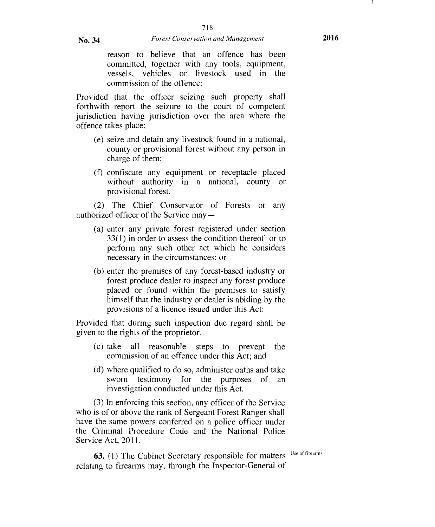reason to believe that an offence has been committed, together with any tools, equipment, vessels, vehicles or livestock used in the commission of the offence:

Provided that the officer seizing such property shall forthwith report the seizure to the court of competent jurisdiction having jurisdiction over the area where the offence takes place;

- (e) seize and detain any livestock found in a national, county or provisional forest without any person in charge of them:
- (1) confiscate any equipment or receptacle placed without authority in a national, county or provisional forest.

(2) The Chief Conservator of Forests or any authorized officer of the Service may —

- (a) enter any private forest registered under section 33(1) in order to assess the condition thereof or to perform any such other act which he considers necessary in the circumstances; or
- (b) enter the premises of any forest-based industry or forest produce dealer to inspect any forest produce placed or found within the premises to satisfy himself that the industry or dealer is abiding by the provisions of a licence issued under this Act:

Provided that during such inspection due regard shall be given to the rights of the proprietor.

- (c) take all reasonable steps to prevent the commission of an offence under this Act; and
- (d) where qualified to do so, administer oaths and take sworn testimony for the purposes of an investigation conducted under this Act.

(3) In enforcing this section, any officer of the Service who is of or above the rank of Sergeant Forest Ranger shall have the same powers conferred on a police officer under the Criminal Procedure Code and the National Police Service Act, 2011.

**63.** (1) The Cabinet Secretary responsible for matters Use of firearms. relating to firearms may, through the Inspector-General of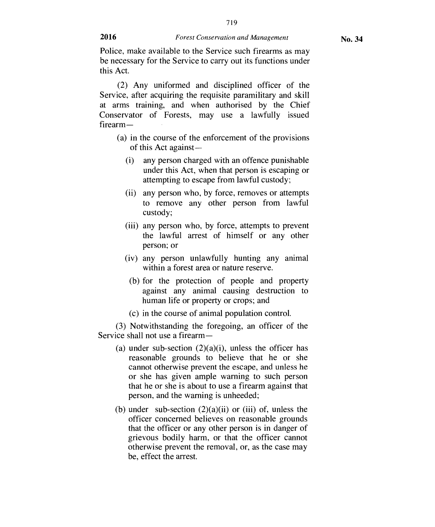719

Police, make available to the Service such firearms as may be necessary for the Service to carry out its functions under this Act.

(2) Any uniformed and disciplined officer of the Service, after acquiring the requisite paramilitary and skill at arms training, and when authorised by the Chief Conservator of Forests, may use a lawfully issued firearm—

- (a) in the course of the enforcement of the provisions of this Act against-
	- (i) any person charged with an offence punishable under this Act, when that person is escaping or attempting to escape from lawful custody;
	- (ii) any person who, by force, removes or attempts to remove any other person from lawful custody;
	- (iii) any person who, by force, attempts to prevent the lawful arrest of himself or any other person; or
	- (iv) any person unlawfully hunting any animal within a forest area or nature reserve.
	- (b) for the protection of people and property against any animal causing destruction to human life or property or crops; and
	- (c) in the course of animal population control.

(3) Notwithstanding the foregoing, an officer of the Service shall not use a firearm—

- (a) under sub-section  $(2)(a)(i)$ , unless the officer has reasonable grounds to believe that he or she cannot otherwise prevent the escape, and unless he or she has given ample warning to such person that he or she is about to use a firearm against that person, and the warning is unheeded;
- (b) under sub-section  $(2)(a)(ii)$  or (iii) of, unless the officer concerned believes on reasonable grounds that the officer or any other person is in danger of grievous bodily harm, or that the officer cannot otherwise prevent the removal, or, as the case may be, effect the arrest.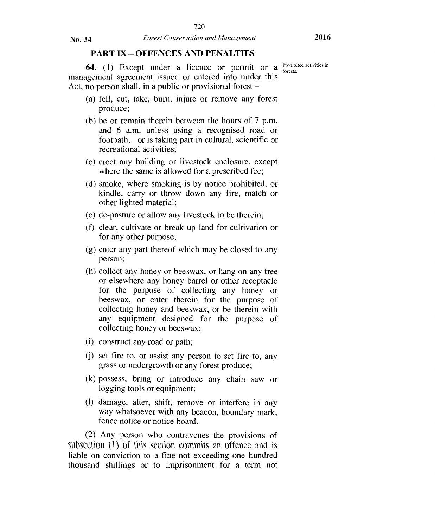### PART IX—OFFENCES AND PENALTIES

**64.** (1) Except under a licence or permit or a  $_{\text{forests}}^{\text{Prohibited activities in}}$ management agreement issued or entered into under this Act, no person shall, in a public or provisional forest –

- (a) fell, cut, take, burn, injure or remove any forest produce;
- (b) be or remain therein between the hours of 7 p.m. and 6 a.m. unless using a recognised road or footpath, or is taking part in cultural, scientific or recreational activities;
- (c) erect any building or livestock enclosure, except where the same is allowed for a prescribed fee;
- (d) smoke, where smoking is by notice prohibited, or kindle, carry or throw down any fire, match or other lighted material;
- (e) de-pasture or allow any livestock to be therein;
- (f) clear, cultivate or break up land for cultivation or for any other purpose;
- (g) enter any part thereof which may be closed to any person;
- (h) collect any honey or beeswax, or hang on any tree or elsewhere any honey barrel or other receptacle for the purpose of collecting any honey or beeswax, or enter therein for the purpose of collecting honey and beeswax, or be therein with any equipment designed for the purpose of collecting honey or beeswax;
- (i) construct any road or path;
- (j) set fire to, or assist any person to set fire to, any grass or undergrowth or any forest produce;
- (k) possess, bring or introduce any chain saw or logging tools or equipment;
- (1) damage, alter, shift, remove or interfere in any way whatsoever with any beacon, boundary mark, fence notice or notice board.

(2) Any person who contravenes the provisions of subsection (1) of this section commits an offence and is liable on conviction to a fine not exceeding one hundred thousand shillings or to imprisonment for a term not

forests.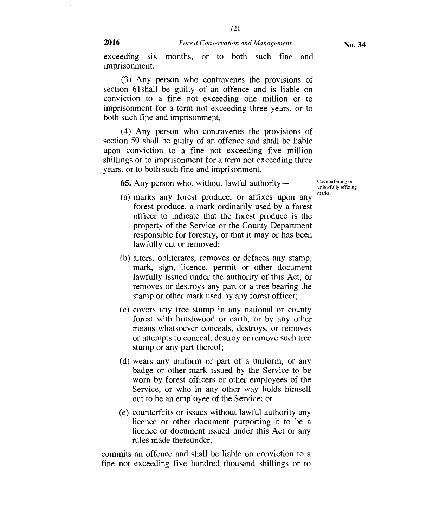721

(3) Any person who contravenes the provisions of section 61 shall be guilty of an offence and is liable on conviction to a fine not exceeding one million or to imprisonment for a term not exceeding three years, or to both such fine and imprisonment.

(4) Any person who contravenes the provisions of section 59 shall be guilty of an offence and shall be liable upon conviction to a fine not exceeding five million shillings or to imprisonment for a term not exceeding three years, or to both such fine and imprisonment.

**65.** Any person who, without lawful authority —

Counterfeiting or unlawfully affixing marks.

- (a) marks any forest produce, or affixes upon any forest produce, a mark ordinarily used by a forest officer to indicate that the forest produce is the property of the Service or the County Department responsible for forestry, or that it may or has been lawfully cut or removed;
- (b) alters, obliterates, removes or defaces any stamp, mark, sign, licence, permit or other document lawfully issued under the authority of this Act, or removes or destroys any part or a tree bearing the stamp or other mark used by any forest officer;
- (c) covers any tree stump in any national or county forest with brushwood or earth, or by any other means whatsoever conceals, destroys, or removes or attempts to conceal, destroy or remove such tree stump or any part thereof;
- (d) wears any uniform or part of a uniform, or any badge or other mark issued by the Service to be worn by forest officers or other employees of the Service, or who in any other way holds himself out to be an employee of the Service; or
- (e) counterfeits or issues without lawful authority any licence or other document purporting it to be a licence or document issued under this Act or any rules made thereunder,

commits an offence and shall be liable on conviction to a fine not exceeding five hundred thousand shillings or to

imprisonment.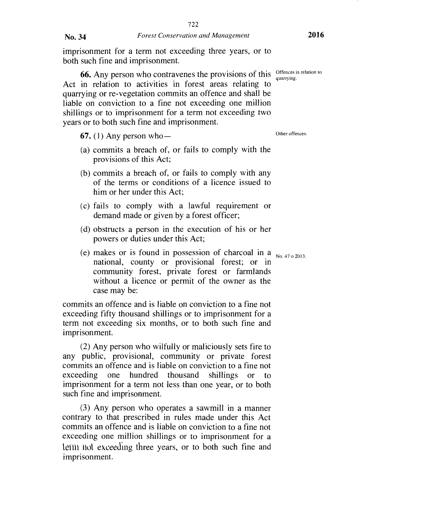imprisonment for a term not exceeding three years, or to both such fine and imprisonment.

722

**66.** Any person who contravenes the provisions of this  $\frac{\text{Offences in relation to}}{\text{quarrow}}$ Act in relation to activities in forest areas relating to quarrying or re-vegetation commits an offence and shall be liable on conviction to a fine not exceeding one million shillings or to imprisonment for a term not exceeding two years or to both such fine and imprisonment.

67. (1) Any person who  $-$ 

- (a) commits a breach of, or fails to comply with the provisions of this Act;
- (b) commits a breach of, or fails to comply with any of the terms or conditions of a licence issued to him or her under this Act;
- (c) fails to comply with a lawful requirement or demand made or given by a forest officer;
- (d) obstructs a person in the execution of his or her powers or duties under this Act;
- (e) makes or is found in possession of charcoal in a  $_{\text{No. }47\,\text{o}}$  2013. national, county or provisional forest; or in community forest, private forest or farmlands without a licence or permit of the owner as the case may be:

commits an offence and is liable on conviction to a fine not exceeding fifty thousand shillings or to imprisonment for a term not exceeding six months, or to both such fine and imprisonment.

(2) Any person who wilfully or maliciously sets fire to any public, provisional, community or private forest commits an offence and is liable on conviction to a fine not exceeding one hundred thousand shillings or to imprisonment for a term not less than one year, or to both such fine and imprisonment.

(3) Any person who operates a sawmill in a manner contrary to that prescribed in rules made under this Act commits an offence and is liable on conviction to a fine not exceeding one million shillings or to imprisonment for a lefft not exceeding three years, or to both such fine and imprisonment.

quarrying.

Other offences.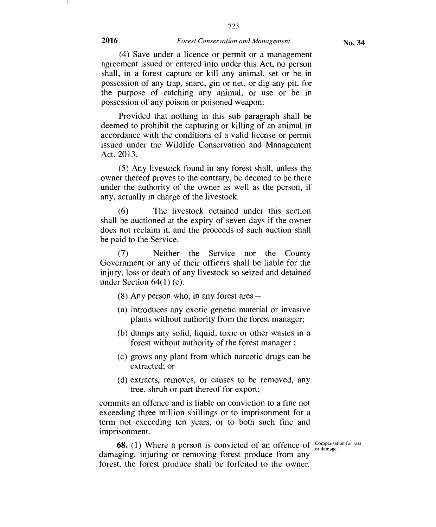723

(4) Save under a licence or permit or a management agreement issued or entered into under this Act, no person shall, in a forest capture or kill any animal, set or be in possession of any trap, snare, gin or net, or dig any pit, for the purpose of catching any animal, or use or be in possession of any poison or poisoned weapon:

Provided that nothing in this sub paragraph shall be deemed to prohibit the capturing or killing of an animal in accordance with the conditions of a valid license or permit issued under the Wildlife Conservation and Management Act, 2013.

(5) Any livestock found in any forest shall, unless the owner thereof proves to the contrary, be deemed to be there under the authority of the owner as well as the person, if any, actually in charge of the livestock.

(6) The livestock detained under this section shall be auctioned at the expiry of seven days if the owner does not reclaim it, and the proceeds of such auction shall be paid to the Service.

(7) Neither the Service nor the County Government or any of their officers shall be liable for the injury, loss or death of any livestock so seized and detained under Section 64(1) (e).

(8) Any person who, in any forest area—

- (a) introduces any exotic genetic material or invasive plants without authority from the forest manager;
- (b) dumps any solid, liquid, toxic or other wastes in a forest without authority of the forest manager ;
- (c) grows any plant from which narcotic drugs can be extracted; or
- (d) extracts, removes, or causes to be removed, any tree, shrub or part thereof for export;

commits an offence and is liable on conviction to a fine not exceeding three million shillings or to imprisonment for a term not exceeding ten years, or to both such fine and imprisonment.

**68.** (1) Where a person is convicted of an offence of  $\frac{\text{Comparison for loss}}{\text{or damage}}$ damaging, injuring or removing forest produce from any forest, the forest produce shall be forfeited to the owner.

or damage.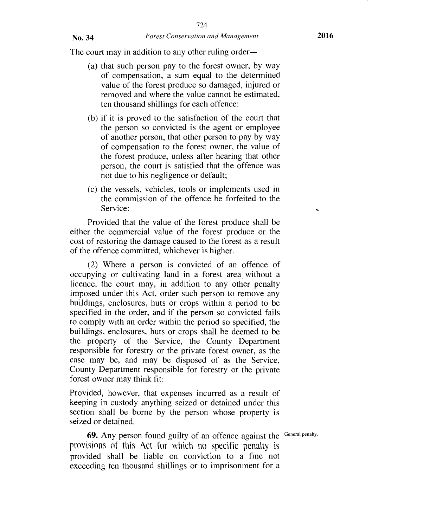The court may in addition to any other ruling order—

- (a) that such person pay to the forest owner, by way of compensation, a sum equal to the determined value of the forest produce so damaged, injured or removed and where the value cannot be estimated, ten thousand shillings for each offence:
- (b) if it is proved to the satisfaction of the court that the person so convicted is the agent or employee of another person, that other person to pay by way of compensation to the forest owner, the value of the forest produce, unless after hearing that other person, the court is satisfied that the offence was not due to his negligence or default;
- (c) the vessels, vehicles, tools or implements used in the commission of the offence be forfeited to the Service:

Provided that the value of the forest produce shall be either the commercial value of the forest produce or the cost of restoring the damage caused to the forest as a result of the offence committed, whichever is higher.

(2) Where a person is convicted of an offence of occupying or cultivating land in a forest area without a licence, the court may, in addition to any other penalty imposed under this Act, order such person to remove any buildings, enclosures, huts or crops within a period to be specified in the order, and if the person so convicted fails to comply with an order within the period so specified, the buildings, enclosures, huts or crops shall be deemed to be the property of the Service, the County Department responsible for forestry or the private forest owner, as the case may be, and may be disposed of as the Service, County Department responsible for forestry or the private forest owner may think fit:

Provided, however, that expenses incurred as a result of keeping in custody anything seized or detained under this section shall be borne by the person whose property is seized or detained.

**69.** Any person found guilty of an offence against the General penalty. provisions of this Act for which no specific penalty is provided shall be liable on conviction to a fine not exceeding ten thousand shillings or to imprisonment for a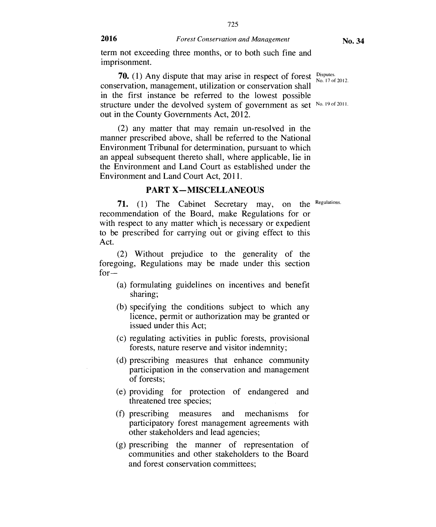725

term not exceeding three months, or to both such fine and imprisonment.

**70.** (1) Any dispute that may arise in respect of forest  $\frac{\text{Disputes}}{\text{No}}$ conservation, management, utilization or conservation shall in the first instance be referred to the lowest possible structure under the devolved system of government as set No. 19 of 2011. out in the County Governments Act, 2012. No. 17 of 2012.

(2) any matter that may remain un-resolved in the manner prescribed above, shall be referred to the National Environment Tribunal for determination, pursuant to which an appeal subsequent thereto shall, where applicable, lie in the Environment and Land Court as established under the Environment and Land Court Act, 2011.

#### **PART X — MISCELLANEOUS**

71. (1) The Cabinet Secretary may, on the Regulations. recommendation of the Board, make Regulations for or with respect to any matter which is necessary or expedient to be prescribed for carrying out or giving effect to this Act.

(2) Without prejudice to the generality of the foregoing, Regulations may be made under this section  $for -$ 

- (a) formulating guidelines on incentives and benefit sharing;
- (b) specifying the conditions subject to which any licence, permit or authorization may be granted or issued under this Act;
- (c) regulating activities in public forests, provisional forests, nature reserve and visitor indemnity;
- (d) prescribing measures that enhance community participation in the conservation and management of forests;
- (e) providing for protection of endangered and threatened tree species;
- (f) prescribing measures and mechanisms for participatory forest management agreements with other stakeholders and lead agencies;
- (g) prescribing the manner of representation of communities and other stakeholders to the Board and forest conservation committees;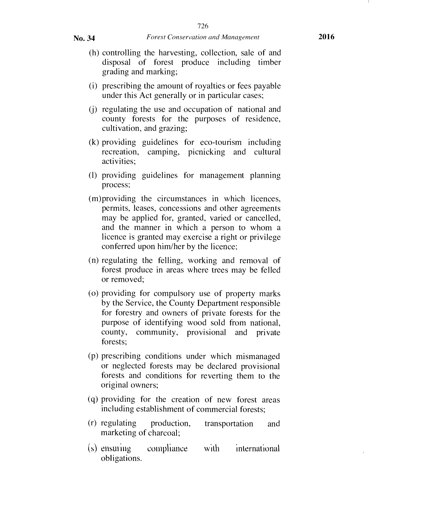- (h) controlling the harvesting, collection, sale of and disposal of forest produce including timber grading and marking;
- (i) prescribing the amount of royalties or fees payable under this Act generally or in particular cases;
- (j) regulating the use and occupation of national and county forests for the purposes of residence, cultivation, and grazing;
- (k) providing guidelines for eco-tourism including recreation, camping, picnicking and cultural activities;
- (1) providing guidelines for management planning process;
- (m)providing the circumstances in which licences, permits, leases, concessions and other agreements may be applied for, granted, varied or cancelled, and the manner in which a person to whom a licence is granted may exercise a right or privilege conferred upon him/her by the licence;
- (n) regulating the felling, working and removal of forest produce in areas where trees may be felled or removed;
- (o) providing for compulsory use of property marks by the Service, the County Department responsible for forestry and owners of private forests for the purpose of identifying wood sold from national, county, community, provisional and private forests;
- (p) prescribing conditions under which mismanaged or neglected forests may be declared provisional forests and conditions for reverting them to the original owners;
- (q) providing for the creation of new forest areas including establishment of commercial forests;
- (r) regulating production, transportation and marketing of charcoal;
- $(s)$  ensuring compliance with international obligations.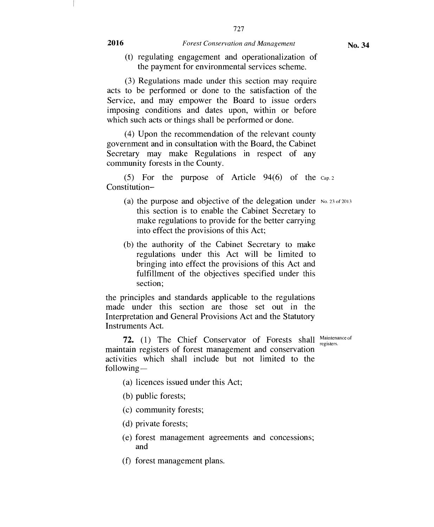727

(t) regulating engagement and operationalization of the payment for environmental services scheme.

(3) Regulations made under this section may require acts to be performed or done to the satisfaction of the Service, and may empower the Board to issue orders imposing conditions and dates upon, within or before which such acts or things shall be performed or done.

(4) Upon the recommendation of the relevant county government and in consultation with the Board, the Cabinet Secretary may make Regulations in respect of any community forests in the County.

(5) For the purpose of Article  $94(6)$  of the  $Cap.2$ Constitution—

- (a) the purpose and objective of the delegation under No. 23 of 2013 this section is to enable the Cabinet Secretary to make regulations to provide for the better carrying into effect the provisions of this Act;
- (b) the authority of the Cabinet Secretary to make regulations under this Act will be limited to bringing into effect the provisions of this Act and fulfillment of the objectives specified under this section;

the principles and standards applicable to the regulations made under this section are those set out in the Interpretation and General Provisions Act and the Statutory Instruments Act.

maintain registers of forest management and conservation **72.** (1) The Chief Conservator of Forests shall Maintenance of registers. activities which shall include but not limited to the following —

- (a) licences issued under this Act;
- (b) public forests;
- (c) community forests;
- (d) private forests;
- (e) forest management agreements and concessions; and
- (f) forest management plans.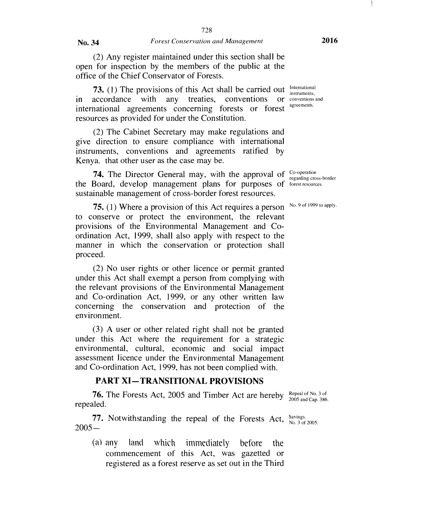(2) Any register maintained under this section shall be open for inspection by the members of the public at the office of the Chief Conservator of Forests.

73. (1) The provisions of this Act shall be carried out in accordance with any treaties, conventions international agreements concerning forests or forest resources as provided for under the Constitution.

(2) The Cabinet Secretary may make regulations and give direction to ensure compliance with international instruments, conventions and agreements ratified by Kenya. that other user as the case may be.

**74.** The Director General may, with the approval of  $\frac{Co\cdot operation}{resaration}$ the Board, develop management plans for purposes of forest resources. sustainable management of cross-border forest resources.

**75.** (1) Where a provision of this Act requires a person  $^{No. 9 of 1999 to apply.}$ to conserve or protect the environment, the relevant provisions of the Environmental Management and Coordination Act, 1999, shall also apply with respect to the manner in which the conservation or protection shall proceed.

(2) No user rights or other licence or permit granted under this Act shall exempt a person from complying with the relevant provisions of the Environmental Management and Co-ordination Act, 1999, or any other written law concerning the conservation and protection of the environment.

(3) A user or other related right shall not be granted under this Act where the requirement for a strategic environmental, cultural, economic and social impact assessment licence under the Environmental Management and Co-ordination Act, 1999, has not been complied with.

#### **PART XI— TRANSITIONAL PROVISIONS**

**76.** The Forests Act, 2005 and Timber Act are hereby  $\frac{\text{Repeak of No. 3 of}}{2005 \text{ and Can } 386}$ repealed. 2005 and Cap. 386.

**77.** Notwithstanding the repeal of the Forests Act,  $\frac{Savings}{N_{\text{O}}.3 \text{ of } 2005.}$  $2005 -$ 

(al any land which immediately before the commencement of this Act, was gazetted or registered as a forest reserve as set out in the Third

International instruments,  $\overline{\text{or}}$  conventions and agreements.

regarding cross-border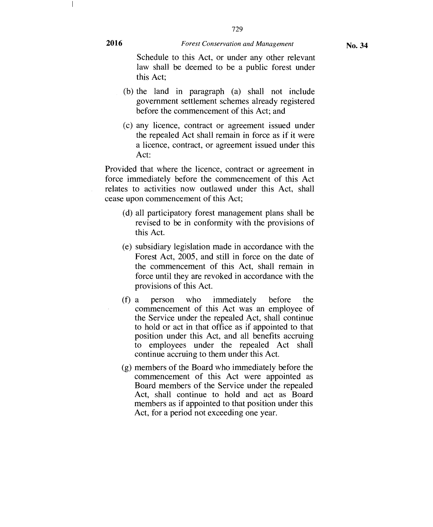729

Schedule to this Act, or under any other relevant law shall be deemed to be a public forest under this Act;

- (b) the land in paragraph (a) shall not include government settlement schemes already registered before the commencement of this Act; and
- (c) any licence, contract or agreement issued under the repealed Act shall remain in force as if it were a licence, contract, or agreement issued under this Act:

Provided that where the licence, contract or agreement in force immediately before the commencement of this Act relates to activities now outlawed under this Act, shall cease upon commencement of this Act;

- (d) all participatory forest management plans shall be revised to be in conformity with the provisions of this Act.
- (e) subsidiary legislation made in accordance with the Forest Act, 2005, and still in force on the date of the commencement of this Act, shall remain in force until they are revoked in accordance with the provisions of this Act.
- (f) a person who immediately before the commencement of this Act was an employee of the Service under the repealed Act, shall continue to hold or act in that office as if appointed to that position under this Act, and all benefits accruing to employees under the repealed Act shall continue accruing to them under this Act.
- (g) members of the Board who immediately before the commencement of this Act were appointed as Board members of the Service under the repealed Act, shall continue to hold and act as Board members as if appointed to that position under this Act, for a period not exceeding one year.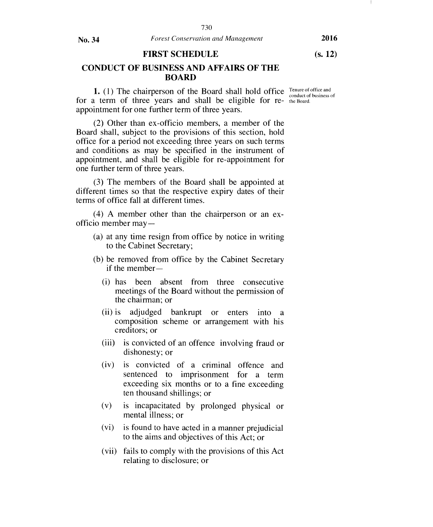#### FIRST SCHEDULE (s. 12)

CONDUCT OF BUSINESS AND AFFAIRS OF THE BOARD

1. (1) The chairperson of the Board shall hold office Tenure of office and conduct of business of for a term of three years and shall be eligible for re- the Board. appointment for one further term of three years.

(2) Other than ex-officio members, a member of the Board shall, subject to the provisions of this section, hold office for a period not exceeding three years on such terms and conditions as may be specified in the instrument of appointment, and shall be eligible for re-appointment for one further term of three years.

(3) The members of the Board shall be appointed at different times so that the respective expiry dates of their terms of office fall at different times.

(4) A member other than the chairperson or an exofficio member may —

- (a) at any time resign from office by notice in writing to the Cabinet Secretary;
- (b) be removed from office by the Cabinet Secretary if the member —
	- (i) has been absent from three consecutive meetings of the Board without the permission of the chairman; or
	- (ii) is adjudged bankrupt or enters into a composition scheme or arrangement with his creditors; or
	- (iii) is convicted of an offence involving fraud or dishonesty; or
	- (iv) is convicted of a criminal offence and sentenced to imprisonment for a term exceeding six months or to a fine exceeding ten thousand shillings; or
	- (v) is incapacitated by prolonged physical or mental illness; or
	- (vi) is found to have acted in a manner prejudicial to the aims and objectives of this Act; or
	- (vii) fails to comply with the provisions of this Act relating to disclosure; or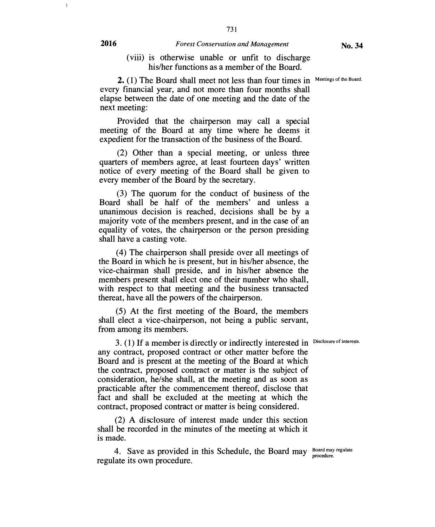731

2. (1) The Board shall meet not less than four times in Meetings of the Board. every financial year, and not more than four months shall elapse between the date of one meeting and the date of the next meeting:

Provided that the chairperson may call a special meeting of the Board at any time where he deems it expedient for the transaction of the business of the Board.

(2) Other than a special meeting, or unless three quarters of members agree, at least fourteen days' written notice of every meeting of the Board shall be given to every member of the Board by the secretary.

(3) The quorum for the conduct of business of the Board shall be half of the members' and unless a unanimous decision is reached, decisions shall be by a majority vote of the members present, and in the case of an equality of votes, the chairperson or the person presiding shall have a casting vote.

(4) The chairperson shall preside over all meetings of the Board in which he is present, but in his/her absence, the vice-chairman shall preside, and in his/her absence the members present shall elect one of their number who shall, with respect to that meeting and the business transacted thereat, have all the powers of the chairperson.

(5) At the first meeting of the Board, the members shall elect a vice-chairperson, not being a public servant, from among its members.

3. (1) If a member is directly or indirectly interested in Disclosure of interests. any contract, proposed contract or other matter before the Board and is present at the meeting of the Board at which the contract, proposed contract or matter is the subject of consideration, he/she shall, at the meeting and as soon as practicable after the commencement thereof, disclose that fact and shall be excluded at the meeting at which the contract, proposed contract or matter is being considered.

(2) A disclosure of interest made under this section shall be recorded in the minutes of the meeting at which it is made.

4. Save as provided in this Schedule, the Board may Board may regulate regulate its own procedure.

 $\bar{1}$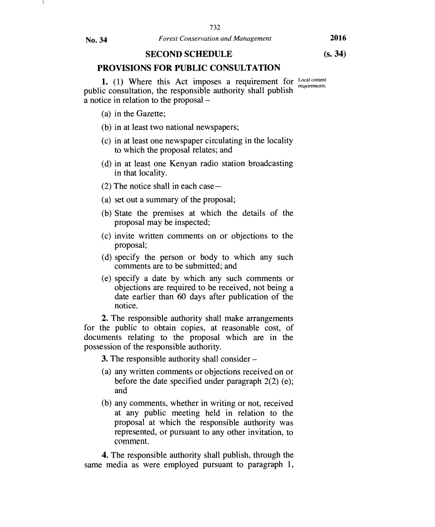**(s. 34)** 

#### **SECOND SCHEDULE**

#### **PROVISIONS FOR PUBLIC CONSULTATION**

**1.** (1) Where this Act imposes a requirement for Local content public consultation, the responsible authority shall publish a notice in relation to the proposal requirements.

- (a) in the Gazette;
- (b) in at least two national newspapers;
- (c) in at least one newspaper circulating in the locality to which the proposal relates; and
- (d) in at least one Kenyan radio station broadcasting in that locality.
- (2) The notice shall in each case —
- (a) set out a summary of the proposal;
- (b) State the premises at which the details of the proposal may be inspected;
- (c) invite written comments on or objections to the proposal;
- (d) specify the person or body to which any such comments are to be submitted; and
- (e) specify a date by which any such comments or objections are required to be received, not being a date earlier than 60 days after publication of the notice.

**2.** The responsible authority shall make arrangements for the public to obtain copies, at reasonable cost, of documents relating to the proposal which are in the possession of the responsible authority.

**3.** The responsible authority shall consider —

- (a) any written comments or objections received on or before the date specified under paragraph  $2(2)$  (e); and
- (b) any comments, whether in writing or not, received at any public meeting held in relation to the proposal at which the responsible authority was represented, or pursuant to any other invitation, to comment.

**4.** The responsible authority shall publish, through the same media as were employed pursuant to paragraph 1,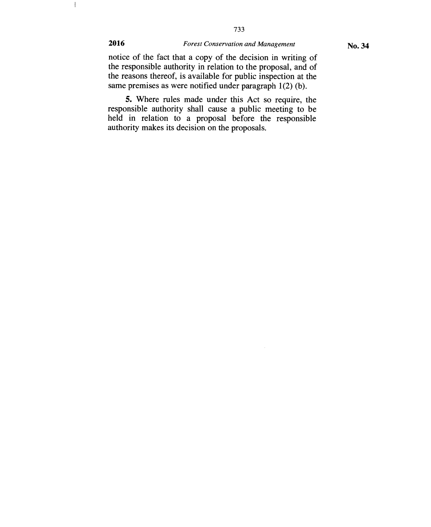$\overline{\phantom{a}}$ 

## **2016** *Forest Conservation and Management*

733

notice of the fact that a copy of the decision in writing of the responsible authority in relation to the proposal, and of the reasons thereof, is available for public inspection at the same premises as were notified under paragraph 1(2) (b).

**5.** Where rules made under this Act so require, the responsible authority shall cause a public meeting to be held in relation to a proposal before the responsible authority makes its decision on the proposals.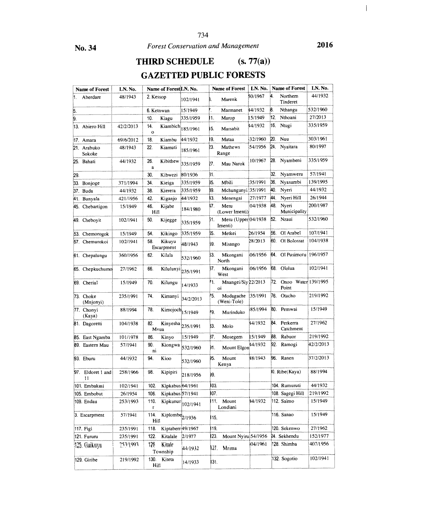**THIRD SCHEDULE (s. 77(a))** 

## **GAZETTED PUBLIC FORESTS**

|     | <b>Name of Forest</b>   | LN. No.   | Name of Forest LN. No.          |                            |      | <b>Name of Forest</b>          | LN. No.  |     | <b>Name of Forest</b>        | LN. No.   |
|-----|-------------------------|-----------|---------------------------------|----------------------------|------|--------------------------------|----------|-----|------------------------------|-----------|
| 1.  | Aberdare                | 48/1943   | 2. Kessop                       | 102/1941                   |      | Marenk                         | 50/1967  | 4.  | Northern<br>Tinderet         | 44/1932   |
| 5.  |                         |           | 6. Ketnwan                      | 15/1949                    |      | Marmanet                       | 44/1932  | 8.  | Nthangu                      | 532/1960  |
| 9.  |                         |           | 10.<br>Kiagu                    | 335/1959                   | 11.  | Marop                          | 15/1949  | 12. | Nthoani                      | 27/2013   |
|     | 13. Abiero Hill         | 42/2/2013 | 14.<br>Kiambich<br>$\mathbf{o}$ | 185/1961                   | 15.  | Marsabit                       | 44/1932  | 16. | Ntugi                        | 335/1959  |
|     | 17. Amara               | 69/6/2012 | 18.<br>Kiambu                   | 44/1932                    | 19.  | Mataa                          | 32/1960  | 20. | Nuu                          | 303/1961  |
|     | 21. Arabuko<br>Sokoke   | 48/1943   | 22.<br>Kiamuti                  | 185/1961                   | 23.  | Mathews<br>Range               | 54/1956  | 24. | Nyaitara                     | 80/1997   |
|     | 25. Bahati              | 44/1932   | Kibithew<br>26.<br>$\bf{a}$     | 335/1959                   | 27.  | Mau Narok                      | 10/1967  |     | 28. Nyambeni                 | 335/1959  |
| 29. |                         |           | 30.<br>Kibwezi                  | 80/1936                    | 31.  |                                |          | 32. | Nyamweru                     | 57/1941   |
|     | 33. Bonjoge             | 371/1994  | 34.<br>Kieiga                   | 335/1959                   | 35.  | Mbili                          | 35/1991  | 36. | Nyasurnbi                    | 139/1995  |
|     | 37. Buda                | 44/1932   | 38.<br>Kierera                  | 335/1959                   | B9.  | Mchungunyi 35/1991             |          | 40. | Nyeri                        | 44/1932   |
|     | 41. Bunyala             | 421/1956  | 42.<br>Kiganjo                  | 44/1932                    | 13.  | Menengai                       | 27/1977  | 44. | Nyeri Hill                   | 26/1944   |
|     | 45. Chebartigon         | 15/1949   | 46.<br>Kijabe<br>Hill           | 184/1980                   | 17.  | Meru<br>(Lower Irnenti)        | 04/1938  | 48. | Nyeri<br>Municipality        | 200/1987  |
|     | 49. Cheboyit            | 102/1941  | 50.<br>Kijegge                  | 335/1959                   | 51.  | Meru (Upper 04/1938<br>Imenti) |          |     | 52. Nzaui                    | 532/1960  |
|     | 53. Chemorogok          | 15/1949   | 54.<br>Kikingo                  | 335/1959                   | 55.  | Metkei                         | 26/1954  | 56. | Ol Arabel                    | 107/1941  |
|     | 57. Chemurokoi          | 102/1941  | 58.<br>Kikuyu<br>Escarpment     | 48/1943                    | 59.  | Misango                        | 28/2013  |     | 60. Ol Bolossat              | 104/1938  |
|     | 61. Chepalungu          | 360/1956  | 62.<br>Kilala                   | 532/1960                   | 53.  | Mkongani<br>North              | 06/1956  |     | 64. Ol Pusimoru 196/1957     |           |
|     | 65. Chepkuchumo         | 27/1962   | 66.                             | Kilulunyi 235/1991         | 57.  | Mkongani<br>West               | 06/1956  |     | 68. Ololua                   | 102/1941  |
|     | 69. Cherial             | 15/1949   | 70.<br>Kilungu                  | 14/1933                    | 71.  | Mnangei/Siy 22/2013<br>oi      |          | 72. | Onoo Water 139/1995<br>Point |           |
|     | 73. Choke<br>(Mnjonyi)  | 235/1991  | 74.<br>Kirnanyi                 | 34/2/2013                  | 75.  | Modagache<br>(Weni-Tole)       | 135/1991 |     | 76. Otacho                   | 219/1992  |
|     | 77. Chonyi<br>(Kaya)    | 88/1994   | 78.                             | Kirnojoch $15/1949$        | 79.  | Murinduko                      | 85/1994  |     | 80. Pemwai                   | 15/1949   |
|     | 81. Dagoretti           | 104/1938  | 82.<br>Mvua                     | Kinyesha 235/1991          | 33.  | Molo                           | 44/1932  |     | 84. Perkerra<br>Catchment    | 27/1962   |
| 35. | East Ngamba             | 101/1978  | 86.<br>Kinyo                    | 15/1949                    | 37.  | Mosegern                       | 15/1949  |     | 88. Rabuor                   | 219/1992  |
|     | 89. Eastern Mau         | 57/1941   | 90.<br>Kiongwa<br>ni            | 532/1960                   | 91.  | Mount Elgon                    | 44/1932  |     | 92. Ramogi                   | 42/2/2013 |
|     | 93. Eburu               | 44/1932   | 94.<br>Kioo                     | 532/1960                   | 95.  | Mount<br>Kenya                 | 48/1943  |     | 96. Ranen                    | 37/2/2013 |
|     | 97. Eldoret I and<br>11 | 258/1966  | 98.<br>Kipipiri                 | 218/1956                   | 99.  |                                |          |     | 0. Ribe (Kaya)               | 88/1994   |
|     | 101. Embakasi           | 102/1941  | 102                             | Kipkabus 64/1961           | 103. |                                |          |     | 104. Rumuruti                | 44/1932   |
|     | 105. Embobut            | 26/1954   | 106.                            | Kipkabus 57/1941           | 107. |                                |          |     | 108. Sagegi Hill             | 219/1992  |
|     | 109. Endau              | 253/1993  | 110.                            | Kipkunur 102/1941          |      | 11. Mount<br>Londiani          | 44/1932  |     | 112. Saimo                   | 15/1949   |
|     | 3. Escarpment           | 57/1941   | 114.<br>Hill                    | Kiplombe <sub>2/1936</sub> | 115. |                                |          |     | 116. Sanao                   | 15/1949   |
|     | 117. Figi               | 235/1991  | 118.                            | Kiptaberr 49/1967          | 119. |                                |          |     | 120. Sekenwo                 | 27/1962   |
|     | 121. Fururu             | 235/1991  | 122.<br>Kitalale                | 2/1977                     | 123. | Mount Nyiru 54/1956            |          |     | 24. Sekhendu                 | 152/1977  |
|     | 125. Gaikuyu            | 253/1993  | 126<br>Kitale<br>Township       | 44/1932                    | 127. | Mrima                          | 04/1961  |     | 128. Shimba                  | 407/1956  |
|     | 129. Giribe             | 219/1992  | Kiteta<br>130.<br>Hill          | 14/1933                    | 131. |                                |          |     | 132. Sogotio                 | 102/1941  |

**2016**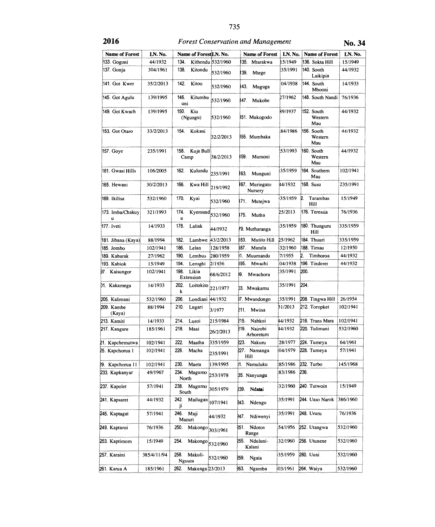| <b>Name of Forest</b> | LN. No.     | Name of Forestil.N. No.    |                    | <b>Name of Forest</b>        | LN, No.  | <b>Name of Forest</b>        | LN. No.  |
|-----------------------|-------------|----------------------------|--------------------|------------------------------|----------|------------------------------|----------|
| 133. Gogoni           | 44/1932     | 134.                       | Kithendu 532/1960  | 35.<br>Mtarakwa              | 15/1949  | 136. Sokta Hill              | 15/1949  |
| 137. Gonja            | 304/1961    | 138.<br>Kitondu            | 532/1960           | 139.<br>Mtege                | 35/1991  | 140. South<br>Laikipia       | 44/1932  |
| 141. Got Kwer         | 35/2/2013   | 142.<br>Kitoo              | 532/1960           | 143.<br>Muguga               | 04/1938  | 144. South<br>Mbooni         | 14/1933  |
| 145. Got Agulu        | 139/1995    | 146.<br>Kitumbu<br>uni     | 532/1960           | 47.<br>Mukobe                | 27/1962  | 148. South Nandi             | 76/1936  |
| 149. Got Kwach        | 139/1995    | 150.<br>Kiu<br>(Ngungu)    | 532/1960           | 151. Mukogodo                | 39/1937  | 152. South<br>Western<br>Mau | 44/1932  |
| 153. Got Otaro        | 33/2/2013   | 154.<br>Kokani             | 32/2/2013          | 55. Mumbaka                  | 84/1986  | 156. South<br>Western<br>Mau | 44/1932  |
| 157. Goye             | 235/1991    | 158.<br>Kuja Bull<br>Camp  | 38/2/2013          | 159.<br>Mumoni               | 53/1993  | 160. South<br>Western<br>Mau | 44/1932  |
| 161. Gwasi Hills      | 106/2005    | 162.<br>Kulundu            | 235/1991           | 163.<br>Munguni              | 35/1959  | 164. Southern<br>Mau         | 102/1941 |
| 165. Hewani           | 30/2/2013   | 166.                       | Kwa Hill 219/1992  | 167. Muringato<br>Nursery    | 44/1932  | 168. Susu                    | 235/1991 |
| 169. Ikilisa          | 532/1960    | 170.<br>Kyai               | 532/1960           | 171.<br>Mutejwa              | 35/1959  | 2.<br>Tarambas<br>Hill       | 15/1949  |
| 173. Imba/Chakuy<br>u | 321/1993    | 174.<br>u                  | $Kyemund$ 532/1960 | 175.<br>Mutha                | 25/2013  | 176. Teressia                | 76/1936  |
| 177. Iveti            | 14/1933     | 178.<br>Laliak             | 44/1932            | 79. Mutharanga               | 35/1959  | 180. Thunguru<br>Hill        | 335/1959 |
| 181. Jibana (Kaya)    | 88/1994     | 182.<br>Lambwe             | 43/2/2013          | Mutito Hill<br>183.          | 25/1962  | 184. Thuuri                  | 335/1959 |
| 185. Jombo            | 102/1941    | 186.<br>Lelan              | 128/1958           | 187.<br>Mutula               | 32/1960  | 188. Timau                   | 12/1950  |
| 189. Kabarak          | 27/1962     | 190.<br>Lembus             | 280/1959           | 11. Muumandu                 | 7/1955   | 2.<br>Timboroa               | 44/1932  |
| 193. Kabiok           | 15/1949     | 194.<br>Leroghi            | 2/1936             | 195.<br>Mwachi               | 04/1938  | 196. Tinderet                | 44/1932  |
| 97. Kaisungor         | 102/1941    | 198.<br>Likia<br>Extension | 68/6/2012          | Ю.<br>Mwachora               | 35/1991  | 200.                         |          |
| 01. Kakamega          | 14/1933     | 202.<br>Loitokito<br>k     | 221/1977           | )3. Mwakamu                  | 35/1991  | 204.                         |          |
| 205. Kalimani         | 532/1960    | 206.<br>Londiani 44/1932   |                    | 7. Mwandongo                 | 35/1991  | 208. Tingwa Hill             | 26/1954  |
| 209. Kambe<br>(Kaya)  | 88/1994     | 210.<br>Lugari             | 3/1977             | 211.<br>Mwina                | 31/2013  | 212. Toropket                | 102/1941 |
| 213. Kamiti           | 14/1933     | 214.<br>Lusoi              | 215/1984           | 215.<br>Nabkoi               | 44/1932  | 216. Trans Mara              | 102/1941 |
| 217. Kangure          | 185/1961    | 218.<br>Maai               | 26/2/2013          | 219.<br>Nairobi<br>Arboretum | 44/1932  | 220. Tulimani                | 532/1960 |
| 21. Kapchemutwa       | 102/1941    | 222.<br>Maatha             | 335/1959           | 223.<br>Nakuru               | 28/1977  | 224. Tumeya                  | 64/1961  |
| 25. Kapchorua 1       | 102/1941    | 226.<br>Macha              | 235/1991           | 227. Namanga<br>Hill         | 04/1979  | 228. Tumeya                  | 57/1941  |
| 29. Kapchorua 11      | 102/1941    | 230.<br>Maeta              | 139/1995           | 1. Namuluku                  | 85/1986  | 232. Turbo                   | 145/1968 |
| 233. Kapkanyar        | 49/1967     | 234.<br>Magumo<br>North    | 253/1978           | 35. Nanyungu                 | 83/1986  | 236                          |          |
| 237. Kapolet          | 57/1941     | 238.<br>Magumo<br>South    | 305/1979           | 239. Ndatai                  | 32/1960  | 240. Tutwoin                 | 15/1949  |
| 241. Kapsaret         | 44/1932     | 242.<br>Mailugan<br>ji     | 107/1941           | 243. Ndengu                  | 35/1991  | 244. Uaso Narok              | 386/1960 |
| 245. Kaptagat         | 57/1941     | 246.<br>Maji<br>Mazuri     | 44/1932            | Ndiwenyi<br>247.             | 35/1991  | 248. Ururu                   | 76/1936  |
| 249. Kaptaroi         | 76/1936     | 250.<br>Makongo            | 303/1961           | Ndotos<br>251.<br>Range      | 54/1956  | 252. Utangwa                 | 532/1960 |
| 253. Kaptimom         | 15/1949     | 254.<br>Makongo 532/1960   |                    | 255. Nduluni-<br>Kalani      | 32/1960  | 256. Utunene                 | 532/1960 |
| 257. Karaini          | 385/4/11/94 | 258.<br>Makuli-<br>Nguuta  | 532/1960           | 259.<br>Ngaia                | 35/1959  | 260. Uuni                    | 532/1960 |
| 261. Karua A          | 185/1961    | Makunga 23/2013<br>262.    |                    | 263.<br>Ngamba               | 103/1961 | 264. Waiya                   | 532/1960 |